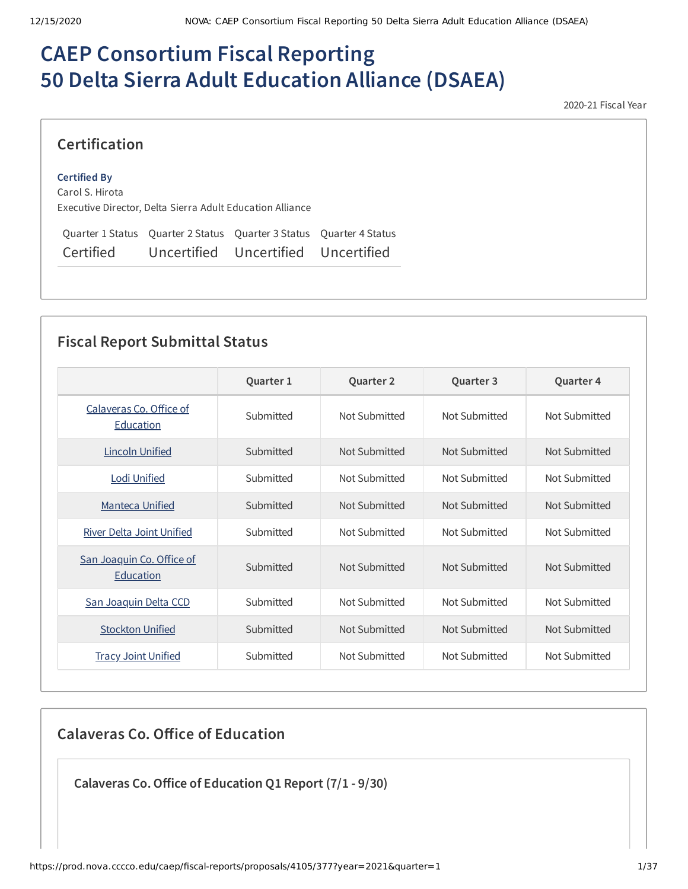# **CAEP Consortium Fiscal Reporting 50 Delta Sierra Adult Education Alliance (DSAEA)**

2020-21 Fiscal Year

### **Certification**

#### **Certified By**

Carol S. Hirota Executive Director, Delta Sierra Adult Education Alliance

Quarter 1 Status Quarter 2 Status Quarter 3 Status Quarter 4 Status Certified Uncertified Uncertified Uncertified

## **Fiscal Report Submittal Status**

|                                        | Quarter 1 | Quarter 2     | Quarter 3     | Quarter 4     |
|----------------------------------------|-----------|---------------|---------------|---------------|
| Calaveras Co. Office of<br>Education   | Submitted | Not Submitted | Not Submitted | Not Submitted |
| <b>Lincoln Unified</b>                 | Submitted | Not Submitted | Not Submitted | Not Submitted |
| <u> Lodi Unified</u>                   | Submitted | Not Submitted | Not Submitted | Not Submitted |
| <b>Manteca Unified</b>                 | Submitted | Not Submitted | Not Submitted | Not Submitted |
| <b>River Delta Joint Unified</b>       | Submitted | Not Submitted | Not Submitted | Not Submitted |
| San Joaquin Co. Office of<br>Education | Submitted | Not Submitted | Not Submitted | Not Submitted |
| San Joaquin Delta CCD                  | Submitted | Not Submitted | Not Submitted | Not Submitted |
| <b>Stockton Unified</b>                | Submitted | Not Submitted | Not Submitted | Not Submitted |
| <b>Tracy Joint Unified</b>             | Submitted | Not Submitted | Not Submitted | Not Submitted |

**Calaveras Co. Oice of Education**

**Calaveras Co.Oice of Education Q1 Report (7/1 - 9/30)**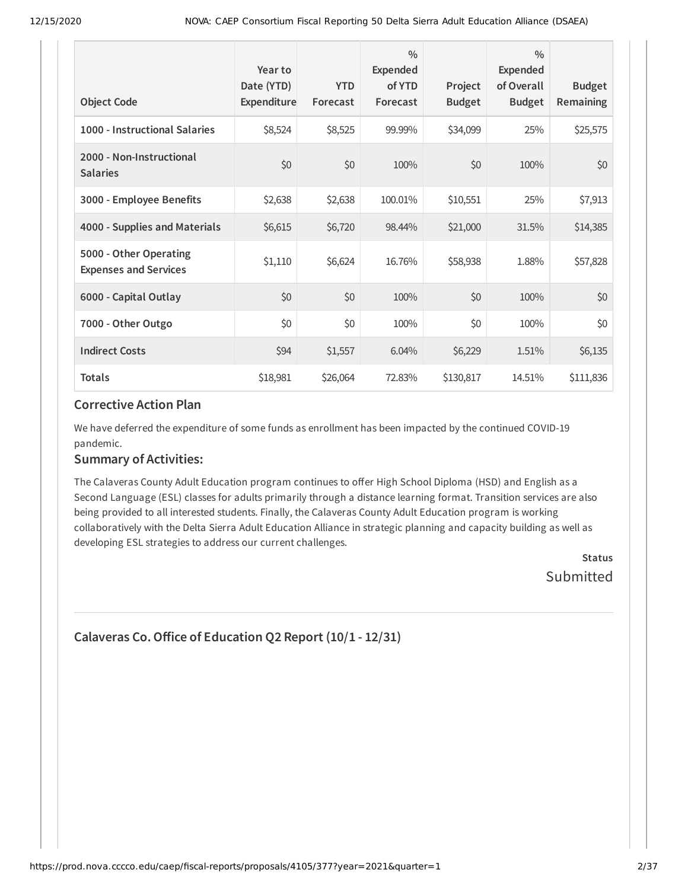| <b>Object Code</b>                                     | Year to<br>Date (YTD)<br>Expenditure | <b>YTD</b><br>Forecast | $\frac{0}{0}$<br><b>Expended</b><br>of YTD<br>Forecast | Project<br><b>Budget</b> | $\frac{0}{0}$<br>Expended<br>of Overall<br><b>Budget</b> | <b>Budget</b><br><b>Remaining</b> |
|--------------------------------------------------------|--------------------------------------|------------------------|--------------------------------------------------------|--------------------------|----------------------------------------------------------|-----------------------------------|
| 1000 - Instructional Salaries                          | \$8,524                              | \$8,525                | 99.99%                                                 | \$34,099                 | 25%                                                      | \$25,575                          |
| 2000 - Non-Instructional<br><b>Salaries</b>            | \$0                                  | \$0                    | 100%                                                   | \$0                      | 100%                                                     | \$0                               |
| 3000 - Employee Benefits                               | \$2,638                              | \$2,638                | 100.01%                                                | \$10,551                 | 25%                                                      | \$7,913                           |
| 4000 - Supplies and Materials                          | \$6,615                              | \$6,720                | 98.44%                                                 | \$21,000                 | 31.5%                                                    | \$14,385                          |
| 5000 - Other Operating<br><b>Expenses and Services</b> | \$1,110                              | \$6,624                | 16.76%                                                 | \$58,938                 | 1.88%                                                    | \$57,828                          |
| 6000 - Capital Outlay                                  | \$0                                  | \$0                    | 100%                                                   | \$0                      | 100%                                                     | \$0                               |
| 7000 - Other Outgo                                     | \$0                                  | \$0                    | 100%                                                   | \$0                      | 100%                                                     | \$0                               |
| <b>Indirect Costs</b>                                  | \$94                                 | \$1,557                | 6.04%                                                  | \$6,229                  | 1.51%                                                    | \$6,135                           |
| <b>Totals</b>                                          | \$18,981                             | \$26,064               | 72.83%                                                 | \$130,817                | 14.51%                                                   | \$111,836                         |

#### **Corrective Action Plan**

We have deferred the expenditure of some funds as enrollment has been impacted by the continued COVID-19 pandemic.

### **Summary of Activities:**

The Calaveras County Adult Education program continues to offer High School Diploma (HSD) and English as a Second Language (ESL) classes for adults primarily through a distance learning format. Transition services are also being provided to all interested students. Finally, the Calaveras County Adult Education program is working collaboratively with the Delta Sierra Adult Education Alliance in strategic planning and capacity building as well as developing ESL strategies to address our current challenges.

> **Status** Submitted

```
Calaveras Co.Oice of Education Q2 Report (10/1 - 12/31)
```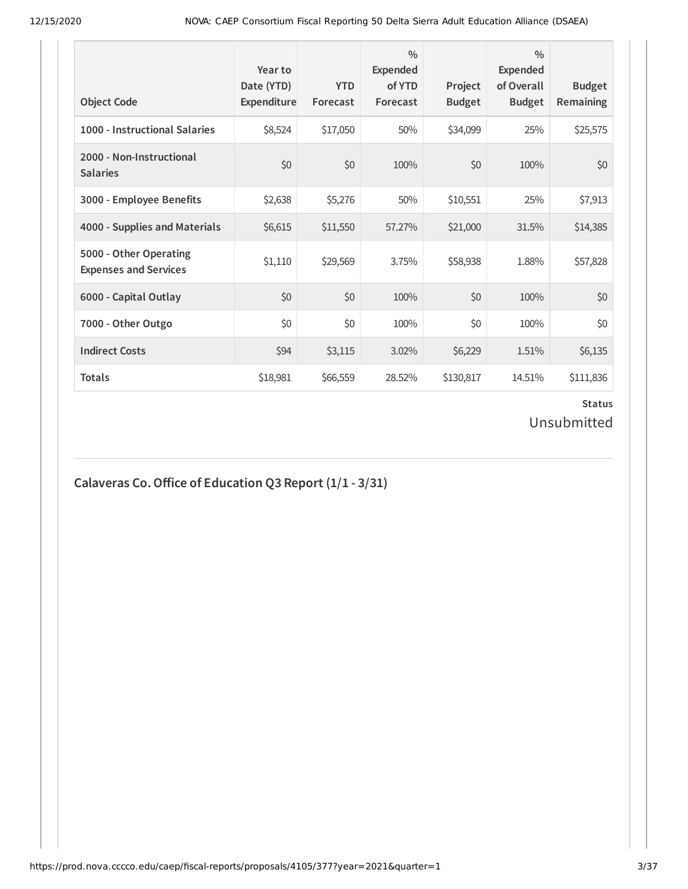| <b>Object Code</b>                                     | Year to<br>Date (YTD)<br><b>Expenditure</b> | <b>YTD</b><br>Forecast | $\frac{0}{0}$<br>Expended<br>of YTD<br>Forecast | Project<br><b>Budget</b> | $\frac{0}{0}$<br>Expended<br>of Overall<br><b>Budget</b> | <b>Budget</b><br><b>Remaining</b> |
|--------------------------------------------------------|---------------------------------------------|------------------------|-------------------------------------------------|--------------------------|----------------------------------------------------------|-----------------------------------|
| 1000 - Instructional Salaries                          | \$8,524                                     | \$17,050               | 50%                                             | \$34,099                 | 25%                                                      | \$25,575                          |
| 2000 - Non-Instructional<br><b>Salaries</b>            | \$0                                         | \$0                    | 100%                                            | \$0                      | 100%                                                     | \$0                               |
| 3000 - Employee Benefits                               | \$2,638                                     | \$5,276                | 50%                                             | \$10,551                 | 25%                                                      | \$7,913                           |
| 4000 - Supplies and Materials                          | \$6,615                                     | \$11,550               | 57.27%                                          | \$21,000                 | 31.5%                                                    | \$14,385                          |
| 5000 - Other Operating<br><b>Expenses and Services</b> | \$1,110                                     | \$29,569               | 3.75%                                           | \$58,938                 | 1.88%                                                    | \$57,828                          |
| 6000 - Capital Outlay                                  | \$0                                         | \$0                    | 100%                                            | \$0                      | 100%                                                     | \$0                               |
| 7000 - Other Outgo                                     | \$0                                         | \$0                    | 100%                                            | \$0                      | 100%                                                     | \$0\$                             |
| <b>Indirect Costs</b>                                  | \$94                                        | \$3,115                | 3.02%                                           | \$6,229                  | 1.51%                                                    | \$6,135                           |
| <b>Totals</b>                                          | \$18,981                                    | \$66,559               | 28.52%                                          | \$130,817                | 14.51%                                                   | \$111,836                         |

### **Status** Unsubmitted

## **Calaveras Co. Office of Education Q3 Report**  $(1/1 - 3/31)$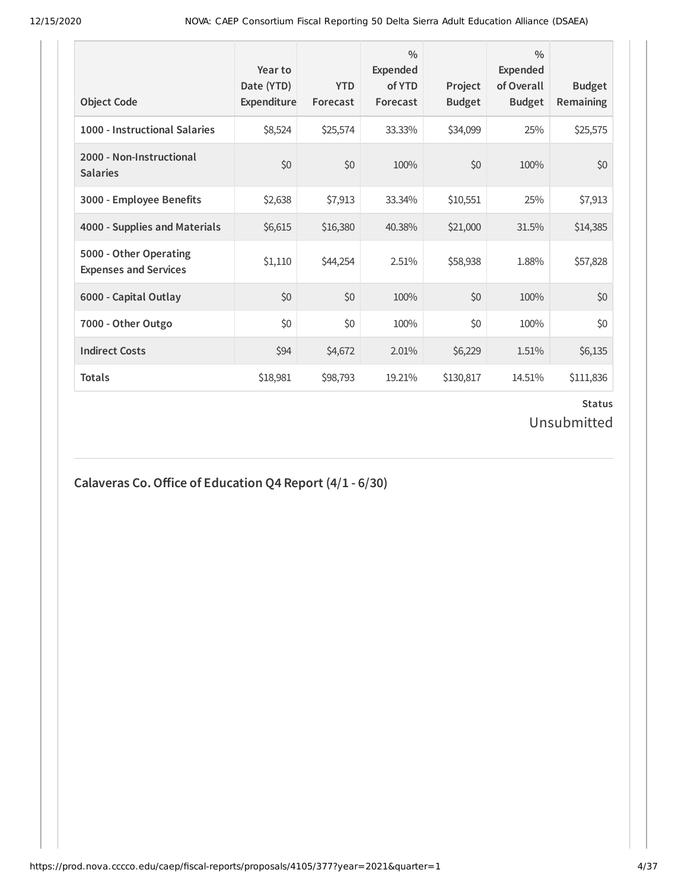| <b>Object Code</b>                                     | Year to<br>Date (YTD)<br>Expenditure | <b>YTD</b><br>Forecast | $\frac{0}{0}$<br>Expended<br>of YTD<br>Forecast | Project<br><b>Budget</b> | $\frac{0}{0}$<br>Expended<br>of Overall<br><b>Budget</b> | <b>Budget</b><br><b>Remaining</b> |
|--------------------------------------------------------|--------------------------------------|------------------------|-------------------------------------------------|--------------------------|----------------------------------------------------------|-----------------------------------|
| 1000 - Instructional Salaries                          | \$8,524                              | \$25,574               | 33.33%                                          | \$34,099                 | 25%                                                      | \$25,575                          |
| 2000 - Non-Instructional<br><b>Salaries</b>            | \$0                                  | \$0                    | 100%                                            | \$0                      | 100%                                                     | \$0                               |
| 3000 - Employee Benefits                               | \$2,638                              | \$7,913                | 33.34%                                          | \$10,551                 | 25%                                                      | \$7,913                           |
| 4000 - Supplies and Materials                          | \$6,615                              | \$16,380               | 40.38%                                          | \$21,000                 | 31.5%                                                    | \$14,385                          |
| 5000 - Other Operating<br><b>Expenses and Services</b> | \$1,110                              | \$44,254               | 2.51%                                           | \$58,938                 | 1.88%                                                    | \$57,828                          |
| 6000 - Capital Outlay                                  | \$0                                  | \$0                    | 100%                                            | \$0                      | 100%                                                     | \$0                               |
| 7000 - Other Outgo                                     | \$0                                  | \$0                    | 100%                                            | \$0                      | 100%                                                     | \$0                               |
| <b>Indirect Costs</b>                                  | \$94                                 | \$4,672                | 2.01%                                           | \$6,229                  | 1.51%                                                    | \$6,135                           |
| <b>Totals</b>                                          | \$18,981                             | \$98,793               | 19.21%                                          | \$130,817                | 14.51%                                                   | \$111,836                         |

### **Status** Unsubmitted

# **Calaveras Co.Oice of Education Q4 Report (4/1 - 6/30)**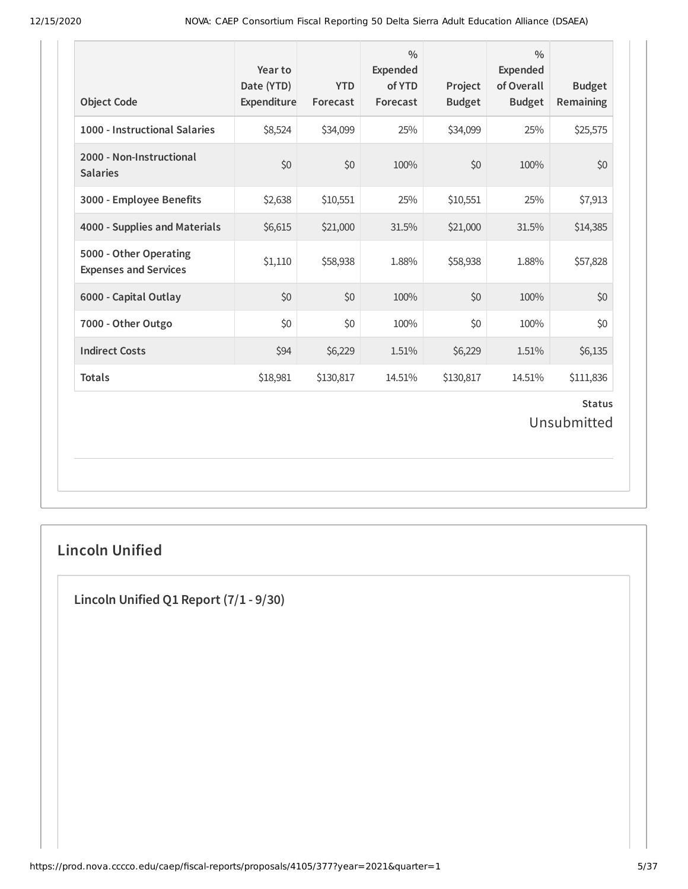| <b>Object Code</b>                                     | Year to<br>Date (YTD)<br>Expenditure | <b>YTD</b><br>Forecast | $\frac{0}{0}$<br><b>Expended</b><br>of YTD<br>Forecast | Project<br><b>Budget</b> | $\frac{0}{0}$<br><b>Expended</b><br>of Overall<br><b>Budget</b> | <b>Budget</b><br>Remaining   |
|--------------------------------------------------------|--------------------------------------|------------------------|--------------------------------------------------------|--------------------------|-----------------------------------------------------------------|------------------------------|
| 1000 - Instructional Salaries                          | \$8,524                              | \$34,099               | 25%                                                    | \$34,099                 | 25%                                                             | \$25,575                     |
| 2000 - Non-Instructional<br><b>Salaries</b>            | \$0                                  | \$0                    | 100%                                                   | \$0                      | 100%                                                            | \$0                          |
| 3000 - Employee Benefits                               | \$2,638                              | \$10,551               | 25%                                                    | \$10,551                 | 25%                                                             | \$7,913                      |
| 4000 - Supplies and Materials                          | \$6,615                              | \$21,000               | 31.5%                                                  | \$21,000                 | 31.5%                                                           | \$14,385                     |
| 5000 - Other Operating<br><b>Expenses and Services</b> | \$1,110                              | \$58,938               | 1.88%                                                  | \$58,938                 | 1.88%                                                           | \$57,828                     |
| 6000 - Capital Outlay                                  | \$0                                  | \$0                    | 100%                                                   | \$0                      | 100%                                                            | \$0                          |
| 7000 - Other Outgo                                     | \$0                                  | \$0                    | 100%                                                   | \$0                      | 100%                                                            | \$0                          |
| <b>Indirect Costs</b>                                  | \$94                                 | \$6,229                | 1.51%                                                  | \$6,229                  | 1.51%                                                           | \$6,135                      |
| <b>Totals</b>                                          | \$18,981                             | \$130,817              | 14.51%                                                 | \$130,817                | 14.51%                                                          | \$111,836                    |
|                                                        |                                      |                        |                                                        |                          |                                                                 | <b>Status</b><br>Unsubmitted |

## **Lincoln Unified**

**Lincoln Unified Q1 Report (7/1 - 9/30)**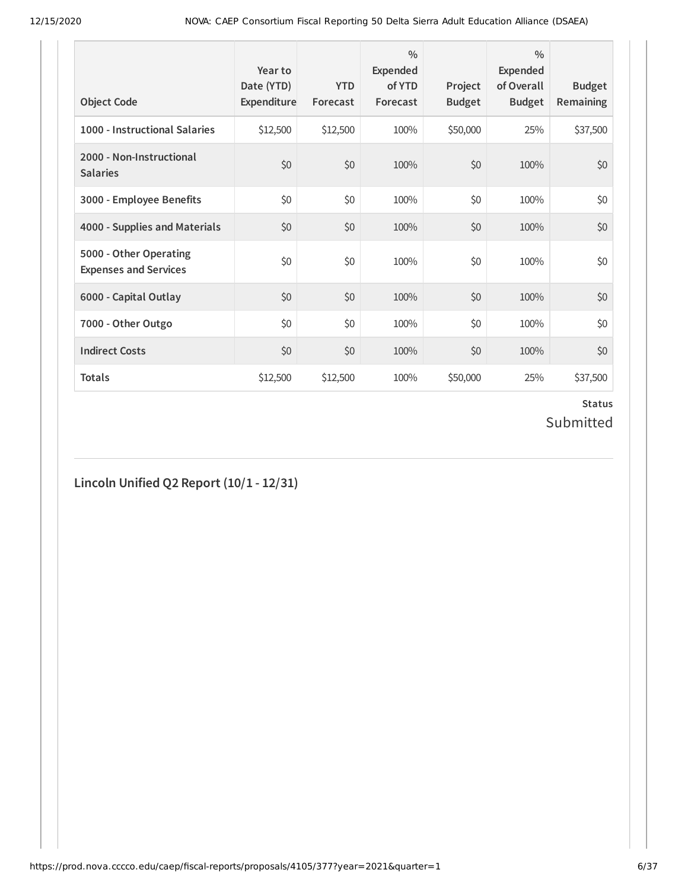| <b>Object Code</b>                                     | Year to<br>Date (YTD)<br>Expenditure | <b>YTD</b><br>Forecast | $\frac{0}{0}$<br>Expended<br>of YTD<br>Forecast | Project<br><b>Budget</b> | $\frac{0}{0}$<br><b>Expended</b><br>of Overall<br><b>Budget</b> | <b>Budget</b><br><b>Remaining</b> |
|--------------------------------------------------------|--------------------------------------|------------------------|-------------------------------------------------|--------------------------|-----------------------------------------------------------------|-----------------------------------|
| 1000 - Instructional Salaries                          | \$12,500                             | \$12,500               | 100%                                            | \$50,000                 | 25%                                                             | \$37,500                          |
| 2000 - Non-Instructional<br><b>Salaries</b>            | \$0                                  | \$0                    | 100%                                            | \$0                      | 100%                                                            | \$0                               |
| 3000 - Employee Benefits                               | \$0                                  | \$0                    | 100%                                            | \$0                      | 100%                                                            | \$0                               |
| 4000 - Supplies and Materials                          | \$0                                  | \$0                    | 100%                                            | \$0                      | 100%                                                            | \$0                               |
| 5000 - Other Operating<br><b>Expenses and Services</b> | \$0                                  | \$0                    | 100%                                            | \$0                      | 100%                                                            | \$0                               |
| 6000 - Capital Outlay                                  | \$0                                  | \$0                    | 100%                                            | \$0                      | 100%                                                            | \$0                               |
| 7000 - Other Outgo                                     | \$0                                  | \$0                    | 100%                                            | \$0                      | 100%                                                            | \$0\$                             |
| <b>Indirect Costs</b>                                  | \$0                                  | \$0                    | 100%                                            | \$0                      | 100%                                                            | \$0                               |
| <b>Totals</b>                                          | \$12,500                             | \$12,500               | 100%                                            | \$50,000                 | 25%                                                             | \$37,500                          |

### **Status** Submitted

**Lincoln Unified Q2 Report (10/1 - 12/31)**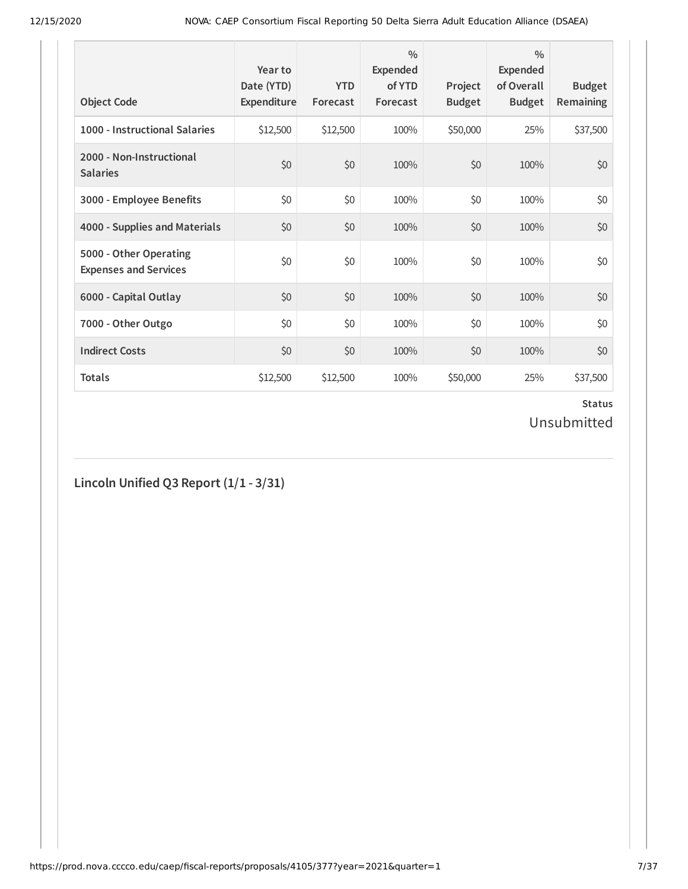| <b>Object Code</b>                                     | Year to<br>Date (YTD)<br>Expenditure | <b>YTD</b><br>Forecast | $\frac{0}{0}$<br>Expended<br>of YTD<br>Forecast | Project<br><b>Budget</b> | $\frac{0}{0}$<br>Expended<br>of Overall<br><b>Budget</b> | <b>Budget</b><br><b>Remaining</b> |
|--------------------------------------------------------|--------------------------------------|------------------------|-------------------------------------------------|--------------------------|----------------------------------------------------------|-----------------------------------|
| 1000 - Instructional Salaries                          | \$12,500                             | \$12,500               | 100%                                            | \$50,000                 | 25%                                                      | \$37,500                          |
| 2000 - Non-Instructional<br><b>Salaries</b>            | \$0                                  | \$0                    | 100%                                            | \$0                      | 100%                                                     | \$0                               |
| 3000 - Employee Benefits                               | \$0                                  | \$0                    | 100%                                            | \$0                      | 100%                                                     | \$0                               |
| 4000 - Supplies and Materials                          | \$0                                  | \$0                    | 100%                                            | \$0                      | 100%                                                     | \$0                               |
| 5000 - Other Operating<br><b>Expenses and Services</b> | \$0                                  | \$0                    | 100%                                            | \$0                      | 100%                                                     | \$0                               |
| 6000 - Capital Outlay                                  | \$0                                  | \$0                    | 100%                                            | \$0                      | 100%                                                     | \$0                               |
| 7000 - Other Outgo                                     | \$0                                  | \$0                    | 100%                                            | \$0                      | 100%                                                     | \$0                               |
| <b>Indirect Costs</b>                                  | \$0                                  | \$0                    | 100%                                            | \$0                      | 100%                                                     | \$0                               |
| <b>Totals</b>                                          | \$12,500                             | \$12,500               | 100%                                            | \$50,000                 | 25%                                                      | \$37,500                          |

### **Status** Unsubmitted

## **Lincoln Unified Q3 Report (1/1 - 3/31)**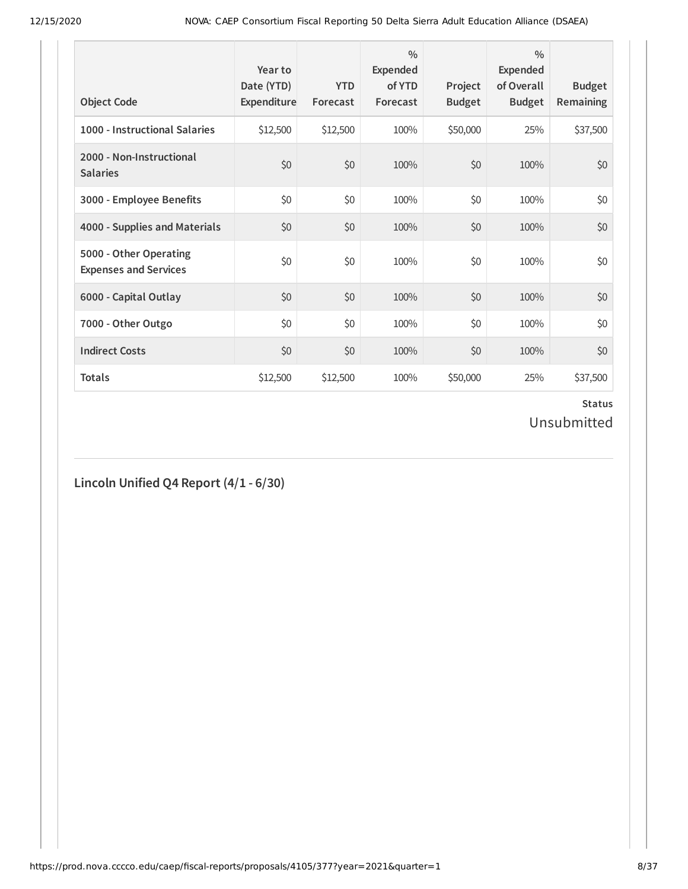| <b>Object Code</b>                                     | Year to<br>Date (YTD)<br>Expenditure | <b>YTD</b><br>Forecast | $\frac{0}{0}$<br>Expended<br>of YTD<br>Forecast | Project<br><b>Budget</b> | $\frac{0}{0}$<br>Expended<br>of Overall<br><b>Budget</b> | <b>Budget</b><br>Remaining |
|--------------------------------------------------------|--------------------------------------|------------------------|-------------------------------------------------|--------------------------|----------------------------------------------------------|----------------------------|
| 1000 - Instructional Salaries                          | \$12,500                             | \$12,500               | 100%                                            | \$50,000                 | 25%                                                      | \$37,500                   |
| 2000 - Non-Instructional<br><b>Salaries</b>            | \$0                                  | \$0                    | 100%                                            | \$0                      | 100%                                                     | \$0                        |
| 3000 - Employee Benefits                               | \$0                                  | \$0                    | 100%                                            | \$0                      | 100%                                                     | \$0                        |
| 4000 - Supplies and Materials                          | \$0                                  | \$0                    | 100%                                            | \$0                      | 100%                                                     | \$0                        |
| 5000 - Other Operating<br><b>Expenses and Services</b> | \$0                                  | \$0                    | 100%                                            | \$0                      | 100%                                                     | \$0                        |
| 6000 - Capital Outlay                                  | \$0                                  | \$0                    | 100%                                            | \$0                      | 100%                                                     | \$0                        |
| 7000 - Other Outgo                                     | \$0                                  | \$0                    | 100%                                            | \$0                      | 100%                                                     | \$0                        |
| <b>Indirect Costs</b>                                  | \$0                                  | \$0                    | 100%                                            | \$0                      | 100%                                                     | \$0                        |
| <b>Totals</b>                                          | \$12,500                             | \$12,500               | 100%                                            | \$50,000                 | 25%                                                      | \$37,500                   |

### **Status** Unsubmitted

## **Lincoln Unified Q4 Report (4/1 - 6/30)**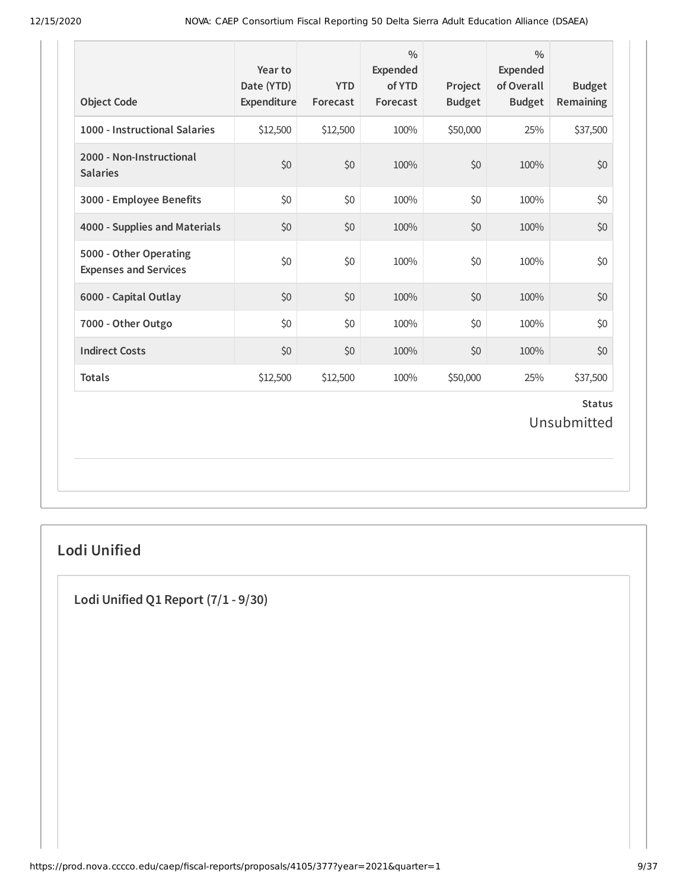| <b>Object Code</b>                                     | Year to<br>Date (YTD)<br>Expenditure | <b>YTD</b><br>Forecast | $\frac{0}{0}$<br>Expended<br>of YTD<br>Forecast | Project<br><b>Budget</b> | $\frac{0}{0}$<br><b>Expended</b><br>of Overall<br><b>Budget</b> | <b>Budget</b><br>Remaining   |
|--------------------------------------------------------|--------------------------------------|------------------------|-------------------------------------------------|--------------------------|-----------------------------------------------------------------|------------------------------|
| 1000 - Instructional Salaries                          | \$12,500                             | \$12,500               | 100%                                            | \$50,000                 | 25%                                                             | \$37,500                     |
| 2000 - Non-Instructional<br><b>Salaries</b>            | \$0                                  | \$0                    | 100%                                            | \$0                      | 100%                                                            | \$0                          |
| 3000 - Employee Benefits                               | \$0                                  | \$0                    | 100%                                            | \$0                      | 100%                                                            | \$0                          |
| 4000 - Supplies and Materials                          | \$0                                  | \$0                    | 100%                                            | \$0                      | 100%                                                            | \$0                          |
| 5000 - Other Operating<br><b>Expenses and Services</b> | \$0                                  | \$0                    | 100%                                            | \$0                      | 100%                                                            | \$0                          |
| 6000 - Capital Outlay                                  | \$0                                  | \$0                    | 100%                                            | \$0                      | 100%                                                            | \$0                          |
| 7000 - Other Outgo                                     | \$0                                  | \$0                    | 100%                                            | \$0                      | 100%                                                            | \$0                          |
| <b>Indirect Costs</b>                                  | \$0                                  | \$0                    | 100%                                            | \$0                      | 100%                                                            | \$0                          |
| <b>Totals</b>                                          | \$12,500                             | \$12,500               | 100%                                            | \$50,000                 | 25%                                                             | \$37,500                     |
|                                                        |                                      |                        |                                                 |                          |                                                                 | <b>Status</b><br>Unsubmitted |

## **Lodi Unified**

**Lodi Unified Q1 Report (7/1 - 9/30)**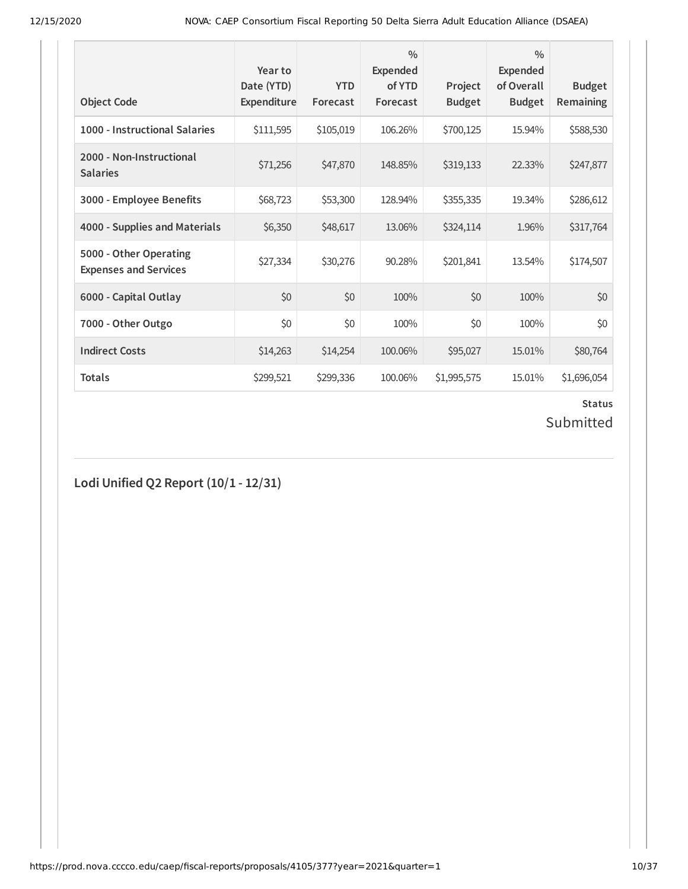| <b>Object Code</b>                                     | Year to<br>Date (YTD)<br>Expenditure | <b>YTD</b><br>Forecast | $\frac{0}{0}$<br><b>Expended</b><br>of YTD<br>Forecast | Project<br><b>Budget</b> | $\frac{0}{0}$<br>Expended<br>of Overall<br><b>Budget</b> | <b>Budget</b><br>Remaining |
|--------------------------------------------------------|--------------------------------------|------------------------|--------------------------------------------------------|--------------------------|----------------------------------------------------------|----------------------------|
| 1000 - Instructional Salaries                          | \$111,595                            | \$105,019              | 106.26%                                                | \$700,125                | 15.94%                                                   | \$588,530                  |
| 2000 - Non-Instructional<br><b>Salaries</b>            | \$71,256                             | \$47,870               | 148.85%                                                | \$319,133                | 22.33%                                                   | \$247,877                  |
| 3000 - Employee Benefits                               | \$68,723                             | \$53,300               | 128.94%                                                | \$355,335                | 19.34%                                                   | \$286,612                  |
| 4000 - Supplies and Materials                          | \$6,350                              | \$48,617               | 13.06%                                                 | \$324,114                | 1.96%                                                    | \$317,764                  |
| 5000 - Other Operating<br><b>Expenses and Services</b> | \$27,334                             | \$30,276               | 90.28%                                                 | \$201,841                | 13.54%                                                   | \$174,507                  |
| 6000 - Capital Outlay                                  | \$0                                  | \$0                    | 100%                                                   | \$0                      | 100%                                                     | \$0                        |
| 7000 - Other Outgo                                     | \$0                                  | \$0                    | 100%                                                   | \$0                      | 100%                                                     | \$0                        |
| <b>Indirect Costs</b>                                  | \$14,263                             | \$14,254               | 100.06%                                                | \$95,027                 | 15.01%                                                   | \$80,764                   |
| <b>Totals</b>                                          | \$299,521                            | \$299,336              | 100.06%                                                | \$1,995,575              | 15.01%                                                   | \$1,696,054                |

# Submitted

**Lodi Unified Q2 Report (10/1 - 12/31)**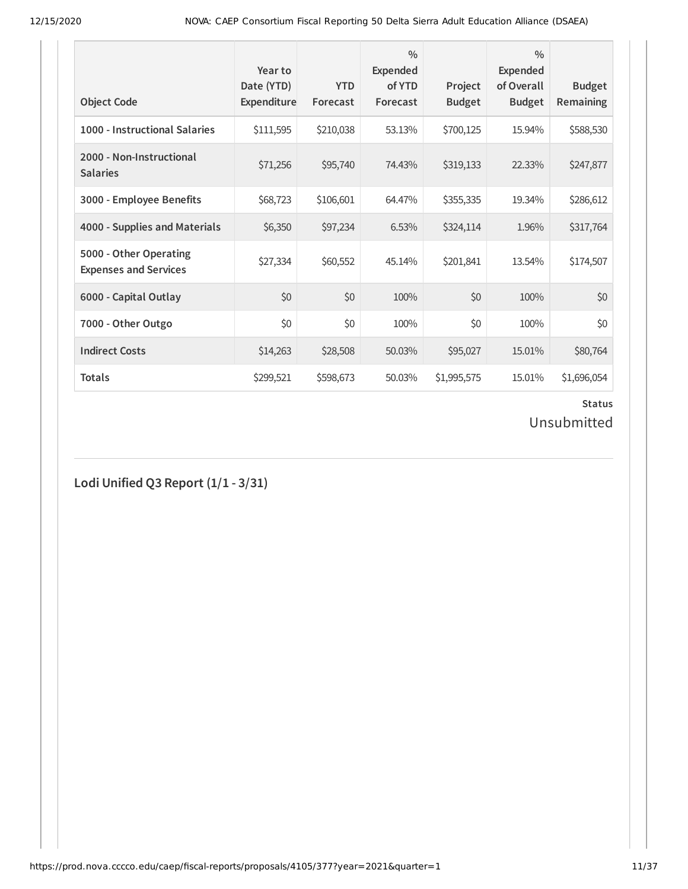| <b>Object Code</b>                                     | Year to<br>Date (YTD)<br>Expenditure | <b>YTD</b><br>Forecast | $\frac{0}{0}$<br>Expended<br>of YTD<br>Forecast | Project<br><b>Budget</b> | $\frac{0}{0}$<br>Expended<br>of Overall<br><b>Budget</b> | <b>Budget</b><br>Remaining |
|--------------------------------------------------------|--------------------------------------|------------------------|-------------------------------------------------|--------------------------|----------------------------------------------------------|----------------------------|
| 1000 - Instructional Salaries                          | \$111,595                            | \$210,038              | 53.13%                                          | \$700,125                | 15.94%                                                   | \$588,530                  |
| 2000 - Non-Instructional<br><b>Salaries</b>            | \$71,256                             | \$95,740               | 74.43%                                          | \$319,133                | 22.33%                                                   | \$247,877                  |
| 3000 - Employee Benefits                               | \$68,723                             | \$106,601              | 64.47%                                          | \$355,335                | 19.34%                                                   | \$286,612                  |
| 4000 - Supplies and Materials                          | \$6,350                              | \$97,234               | 6.53%                                           | \$324,114                | 1.96%                                                    | \$317,764                  |
| 5000 - Other Operating<br><b>Expenses and Services</b> | \$27,334                             | \$60,552               | 45.14%                                          | \$201,841                | 13.54%                                                   | \$174,507                  |
| 6000 - Capital Outlay                                  | \$0                                  | \$0                    | 100%                                            | \$0                      | 100%                                                     | \$0                        |
| 7000 - Other Outgo                                     | \$0                                  | \$0                    | 100%                                            | \$0                      | 100%                                                     | \$0                        |
| <b>Indirect Costs</b>                                  | \$14,263                             | \$28,508               | 50.03%                                          | \$95,027                 | 15.01%                                                   | \$80,764                   |
| <b>Totals</b>                                          | \$299,521                            | \$598,673              | 50.03%                                          | \$1,995,575              | 15.01%                                                   | \$1,696,054                |

# Unsubmitted

**Lodi Unified Q3 Report (1/1 - 3/31)**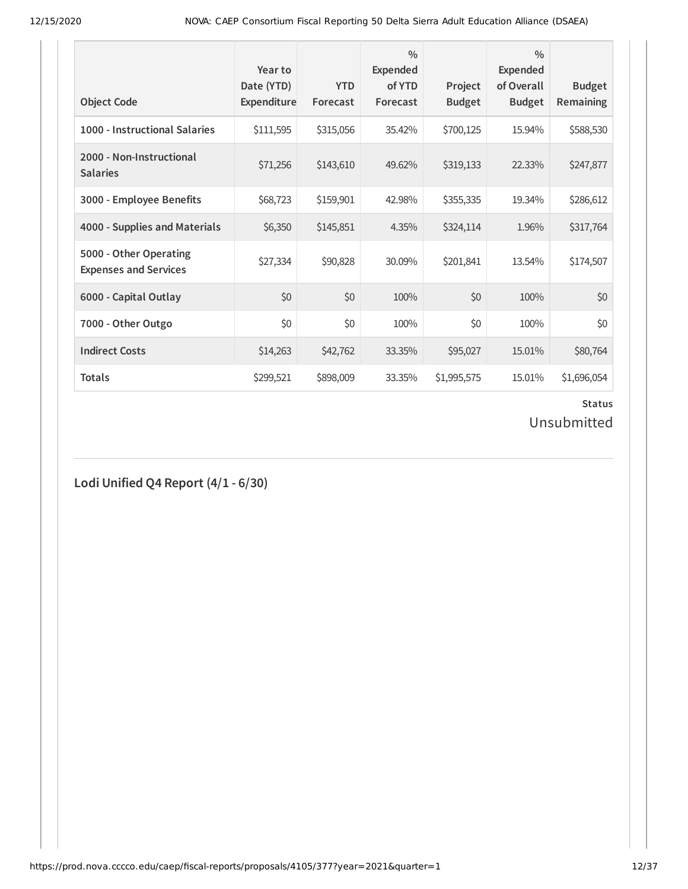| <b>Object Code</b>                                     | Year to<br>Date (YTD)<br>Expenditure | <b>YTD</b><br>Forecast | $\frac{0}{0}$<br>Expended<br>of YTD<br>Forecast | Project<br><b>Budget</b> | $\frac{0}{0}$<br>Expended<br>of Overall<br><b>Budget</b> | <b>Budget</b><br>Remaining |
|--------------------------------------------------------|--------------------------------------|------------------------|-------------------------------------------------|--------------------------|----------------------------------------------------------|----------------------------|
| 1000 - Instructional Salaries                          | \$111,595                            | \$315,056              | 35.42%                                          | \$700,125                | 15.94%                                                   | \$588,530                  |
| 2000 - Non-Instructional<br><b>Salaries</b>            | \$71,256                             | \$143,610              | 49.62%                                          | \$319,133                | 22.33%                                                   | \$247,877                  |
| 3000 - Employee Benefits                               | \$68,723                             | \$159,901              | 42.98%                                          | \$355,335                | 19.34%                                                   | \$286,612                  |
| 4000 - Supplies and Materials                          | \$6,350                              | \$145,851              | 4.35%                                           | \$324,114                | 1.96%                                                    | \$317,764                  |
| 5000 - Other Operating<br><b>Expenses and Services</b> | \$27,334                             | \$90,828               | 30.09%                                          | \$201,841                | 13.54%                                                   | \$174,507                  |
| 6000 - Capital Outlay                                  | \$0                                  | \$0                    | 100%                                            | \$0                      | 100%                                                     | \$0                        |
| 7000 - Other Outgo                                     | \$0                                  | \$0                    | 100%                                            | \$0                      | 100%                                                     | \$0                        |
| <b>Indirect Costs</b>                                  | \$14,263                             | \$42,762               | 33.35%                                          | \$95,027                 | 15.01%                                                   | \$80,764                   |
| <b>Totals</b>                                          | \$299,521                            | \$898,009              | 33.35%                                          | \$1,995,575              | 15.01%                                                   | \$1,696,054                |

## Unsubmitted

**Lodi Unified Q4 Report (4/1 - 6/30)**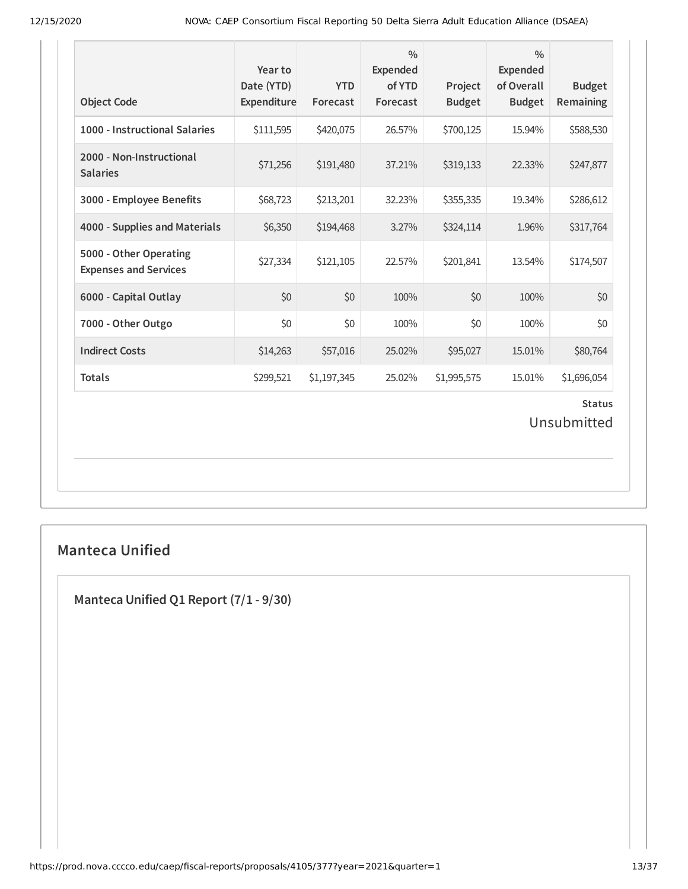| <b>Object Code</b>                                     | Year to<br>Date (YTD)<br>Expenditure | <b>YTD</b><br>Forecast | $\frac{0}{0}$<br><b>Expended</b><br>of YTD<br>Forecast | Project<br><b>Budget</b> | $\frac{0}{0}$<br><b>Expended</b><br>of Overall<br><b>Budget</b> | <b>Budget</b><br>Remaining |  |  |  |
|--------------------------------------------------------|--------------------------------------|------------------------|--------------------------------------------------------|--------------------------|-----------------------------------------------------------------|----------------------------|--|--|--|
| 1000 - Instructional Salaries                          | \$111,595                            | \$420,075              | 26.57%                                                 | \$700,125                | 15.94%                                                          | \$588,530                  |  |  |  |
| 2000 - Non-Instructional<br><b>Salaries</b>            | \$71,256                             | \$191,480              | 37.21%                                                 | \$319,133                | 22.33%                                                          | \$247,877                  |  |  |  |
| 3000 - Employee Benefits                               | \$68,723                             | \$213,201              | 32.23%                                                 | \$355,335                | 19.34%                                                          | \$286,612                  |  |  |  |
| 4000 - Supplies and Materials                          | \$6,350                              | \$194,468              | 3.27%                                                  | \$324,114                | 1.96%                                                           | \$317,764                  |  |  |  |
| 5000 - Other Operating<br><b>Expenses and Services</b> | \$27,334                             | \$121,105              | 22.57%                                                 | \$201,841                | 13.54%                                                          | \$174,507                  |  |  |  |
| 6000 - Capital Outlay                                  | \$0                                  | \$0                    | 100%                                                   | \$0                      | 100%                                                            | \$0                        |  |  |  |
| 7000 - Other Outgo                                     | \$0                                  | \$0                    | 100%                                                   | \$0                      | 100%                                                            | \$0                        |  |  |  |
| <b>Indirect Costs</b>                                  | \$14,263                             | \$57,016               | 25.02%                                                 | \$95,027                 | 15.01%                                                          | \$80,764                   |  |  |  |
| <b>Totals</b>                                          | \$299,521                            | \$1,197,345            | 25.02%                                                 | \$1,995,575              | 15.01%                                                          | \$1,696,054                |  |  |  |
| <b>Status</b><br>Unsubmitted                           |                                      |                        |                                                        |                          |                                                                 |                            |  |  |  |

## **Manteca Unified**

**Manteca Unified Q1 Report (7/1 - 9/30)**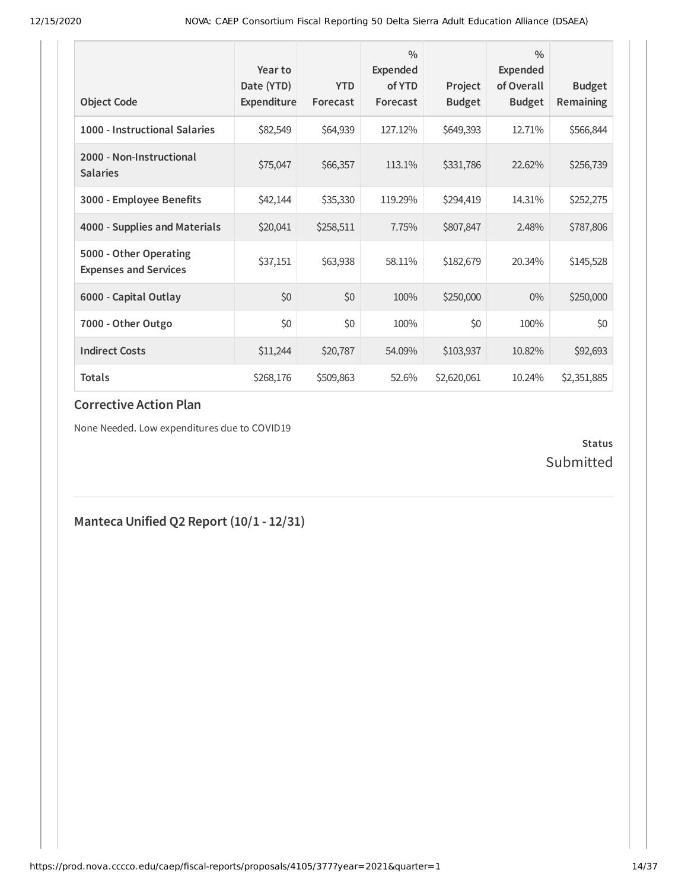| <b>Object Code</b>                                     | Year to<br>Date (YTD)<br><b>Expenditure</b> | <b>YTD</b><br>Forecast | $\frac{0}{0}$<br><b>Expended</b><br>of YTD<br>Forecast | Project<br><b>Budget</b> | $\frac{0}{0}$<br><b>Expended</b><br>of Overall<br><b>Budget</b> | <b>Budget</b><br>Remaining |
|--------------------------------------------------------|---------------------------------------------|------------------------|--------------------------------------------------------|--------------------------|-----------------------------------------------------------------|----------------------------|
| 1000 - Instructional Salaries                          | \$82,549                                    | \$64,939               | 127.12%                                                | \$649,393                | 12.71%                                                          | \$566,844                  |
| 2000 - Non-Instructional<br><b>Salaries</b>            | \$75,047                                    | \$66,357               | 113.1%                                                 | \$331,786                | 22.62%                                                          | \$256,739                  |
| 3000 - Employee Benefits                               | \$42,144                                    | \$35,330               | 119.29%                                                | \$294,419                | 14.31%                                                          | \$252,275                  |
| 4000 - Supplies and Materials                          | \$20,041                                    | \$258,511              | 7.75%                                                  | \$807,847                | 2.48%                                                           | \$787,806                  |
| 5000 - Other Operating<br><b>Expenses and Services</b> | \$37,151                                    | \$63,938               | 58.11%                                                 | \$182,679                | 20.34%                                                          | \$145,528                  |
| 6000 - Capital Outlay                                  | \$0                                         | \$0                    | 100%                                                   | \$250,000                | $0\%$                                                           | \$250,000                  |
| 7000 - Other Outgo                                     | \$0                                         | \$0                    | 100%                                                   | \$0                      | 100%                                                            | \$0                        |
| <b>Indirect Costs</b>                                  | \$11,244                                    | \$20,787               | 54.09%                                                 | \$103,937                | 10.82%                                                          | \$92,693                   |
| <b>Totals</b>                                          | \$268,176                                   | \$509,863              | 52.6%                                                  | \$2,620,061              | 10.24%                                                          | \$2,351,885                |

### **Corrective Action Plan**

None Needed. Low expenditures due to COVID19

### **Status** Submitted

## **Manteca Unified Q2 Report (10/1 - 12/31)**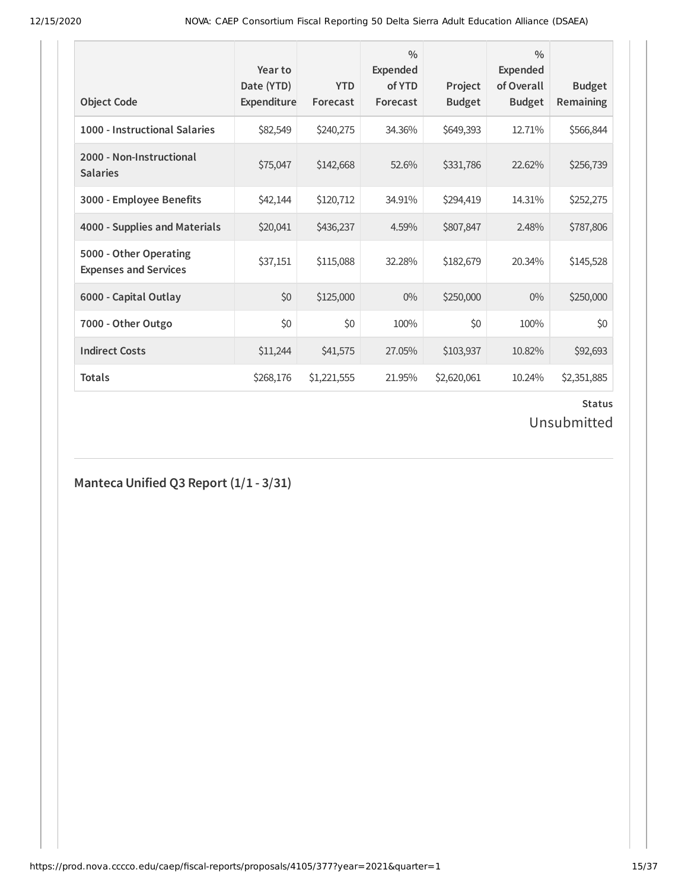| <b>Object Code</b>                                     | Year to<br>Date (YTD)<br>Expenditure | <b>YTD</b><br>Forecast | $\frac{0}{0}$<br>Expended<br>of YTD<br>Forecast | Project<br><b>Budget</b> | $\frac{0}{0}$<br>Expended<br>of Overall<br><b>Budget</b> | <b>Budget</b><br>Remaining |
|--------------------------------------------------------|--------------------------------------|------------------------|-------------------------------------------------|--------------------------|----------------------------------------------------------|----------------------------|
| 1000 - Instructional Salaries                          | \$82,549                             | \$240,275              | 34.36%                                          | \$649,393                | 12.71%                                                   | \$566,844                  |
| 2000 - Non-Instructional<br><b>Salaries</b>            | \$75,047                             | \$142,668              | 52.6%                                           | \$331,786                | 22.62%                                                   | \$256,739                  |
| 3000 - Employee Benefits                               | \$42,144                             | \$120,712              | 34.91%                                          | \$294,419                | 14.31%                                                   | \$252,275                  |
| 4000 - Supplies and Materials                          | \$20,041                             | \$436,237              | 4.59%                                           | \$807,847                | 2.48%                                                    | \$787,806                  |
| 5000 - Other Operating<br><b>Expenses and Services</b> | \$37,151                             | \$115,088              | 32.28%                                          | \$182,679                | 20.34%                                                   | \$145,528                  |
| 6000 - Capital Outlay                                  | \$0                                  | \$125,000              | $0\%$                                           | \$250,000                | $0\%$                                                    | \$250,000                  |
| 7000 - Other Outgo                                     | \$0                                  | \$0                    | 100%                                            | \$0                      | 100%                                                     | \$0                        |
| <b>Indirect Costs</b>                                  | \$11,244                             | \$41,575               | 27.05%                                          | \$103,937                | 10.82%                                                   | \$92,693                   |
| <b>Totals</b>                                          | \$268,176                            | \$1,221,555            | 21.95%                                          | \$2,620,061              | 10.24%                                                   | \$2,351,885                |

## Unsubmitted

**Manteca Unified Q3 Report (1/1 - 3/31)**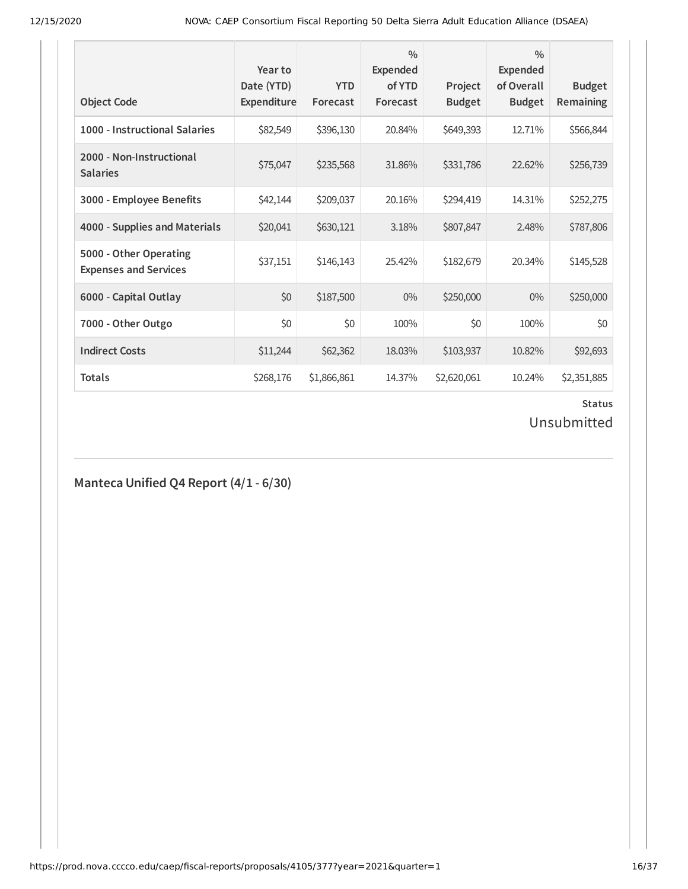| <b>Object Code</b>                                     | Year to<br>Date (YTD)<br><b>Expenditure</b> | <b>YTD</b><br>Forecast | $\frac{0}{0}$<br>Expended<br>of YTD<br>Forecast | Project<br><b>Budget</b> | $\frac{0}{0}$<br>Expended<br>of Overall<br><b>Budget</b> | <b>Budget</b><br>Remaining |
|--------------------------------------------------------|---------------------------------------------|------------------------|-------------------------------------------------|--------------------------|----------------------------------------------------------|----------------------------|
| 1000 - Instructional Salaries                          | \$82,549                                    | \$396,130              | 20.84%                                          | \$649,393                | 12.71%                                                   | \$566,844                  |
| 2000 - Non-Instructional<br><b>Salaries</b>            | \$75,047                                    | \$235,568              | 31.86%                                          | \$331,786                | 22.62%                                                   | \$256,739                  |
| 3000 - Employee Benefits                               | \$42,144                                    | \$209,037              | 20.16%                                          | \$294,419                | 14.31%                                                   | \$252,275                  |
| 4000 - Supplies and Materials                          | \$20,041                                    | \$630,121              | 3.18%                                           | \$807,847                | 2.48%                                                    | \$787,806                  |
| 5000 - Other Operating<br><b>Expenses and Services</b> | \$37,151                                    | \$146,143              | 25.42%                                          | \$182,679                | 20.34%                                                   | \$145,528                  |
| 6000 - Capital Outlay                                  | \$0                                         | \$187,500              | $0\%$                                           | \$250,000                | $0\%$                                                    | \$250,000                  |
| 7000 - Other Outgo                                     | \$0                                         | \$0                    | 100%                                            | \$0                      | 100%                                                     | \$0                        |
| <b>Indirect Costs</b>                                  | \$11,244                                    | \$62,362               | 18.03%                                          | \$103,937                | 10.82%                                                   | \$92,693                   |
| <b>Totals</b>                                          | \$268,176                                   | \$1,866,861            | 14.37%                                          | \$2,620,061              | 10.24%                                                   | \$2,351,885                |

## Unsubmitted

**Manteca Unified Q4 Report (4/1 - 6/30)**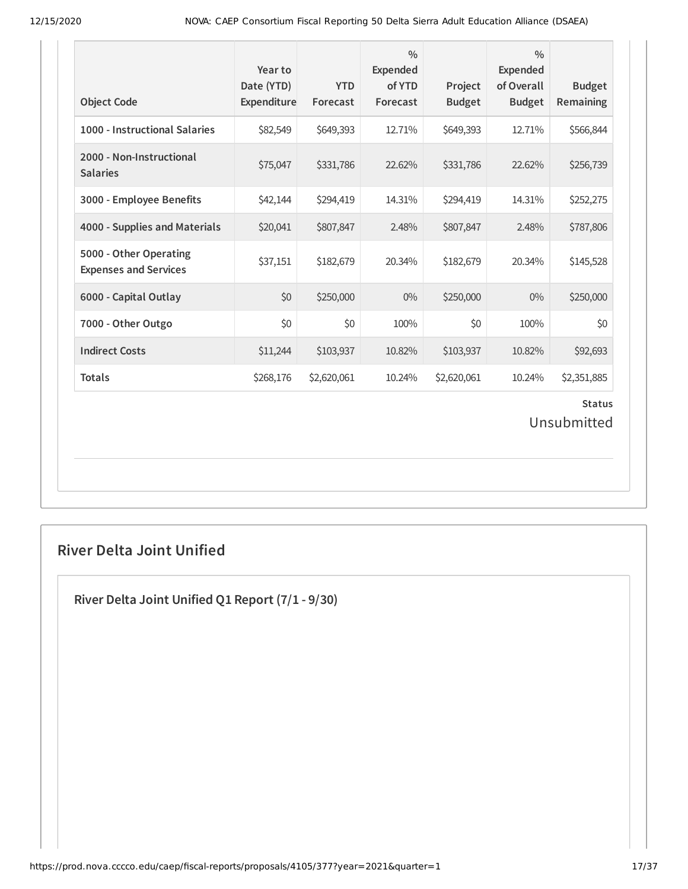| <b>Object Code</b>                                     | Year to<br>Date (YTD)<br>Expenditure | <b>YTD</b><br>Forecast | $\frac{0}{0}$<br><b>Expended</b><br>of YTD<br>Forecast | Project<br><b>Budget</b> | $\frac{0}{0}$<br><b>Expended</b><br>of Overall<br><b>Budget</b> | <b>Budget</b><br>Remaining |  |  |
|--------------------------------------------------------|--------------------------------------|------------------------|--------------------------------------------------------|--------------------------|-----------------------------------------------------------------|----------------------------|--|--|
| 1000 - Instructional Salaries                          | \$82,549                             | \$649,393              | 12.71%                                                 | \$649,393                | 12.71%                                                          | \$566,844                  |  |  |
| 2000 - Non-Instructional<br><b>Salaries</b>            | \$75,047                             | \$331,786              | 22.62%                                                 | \$331,786                | 22.62%                                                          | \$256,739                  |  |  |
| 3000 - Employee Benefits                               | \$42,144                             | \$294,419              | 14.31%                                                 | \$294,419                | 14.31%                                                          | \$252,275                  |  |  |
| 4000 - Supplies and Materials                          | \$20,041                             | \$807,847              | 2.48%                                                  | \$807,847                | 2.48%                                                           | \$787,806                  |  |  |
| 5000 - Other Operating<br><b>Expenses and Services</b> | \$37,151                             | \$182,679              | 20.34%                                                 | \$182,679                | 20.34%                                                          | \$145,528                  |  |  |
| 6000 - Capital Outlay                                  | \$0                                  | \$250,000              | $0\%$                                                  | \$250,000                | $0\%$                                                           | \$250,000                  |  |  |
| 7000 - Other Outgo                                     | \$0                                  | \$0                    | 100%                                                   | \$0                      | 100%                                                            | \$0                        |  |  |
| <b>Indirect Costs</b>                                  | \$11,244                             | \$103,937              | 10.82%                                                 | \$103,937                | 10.82%                                                          | \$92,693                   |  |  |
| <b>Totals</b>                                          | \$268,176                            | \$2,620,061            | 10.24%                                                 | \$2,620,061              | 10.24%                                                          | \$2,351,885                |  |  |
| <b>Status</b><br>Unsubmitted                           |                                      |                        |                                                        |                          |                                                                 |                            |  |  |

## **River Delta Joint Unified**

**River Delta Joint Unified Q1 Report (7/1 - 9/30)**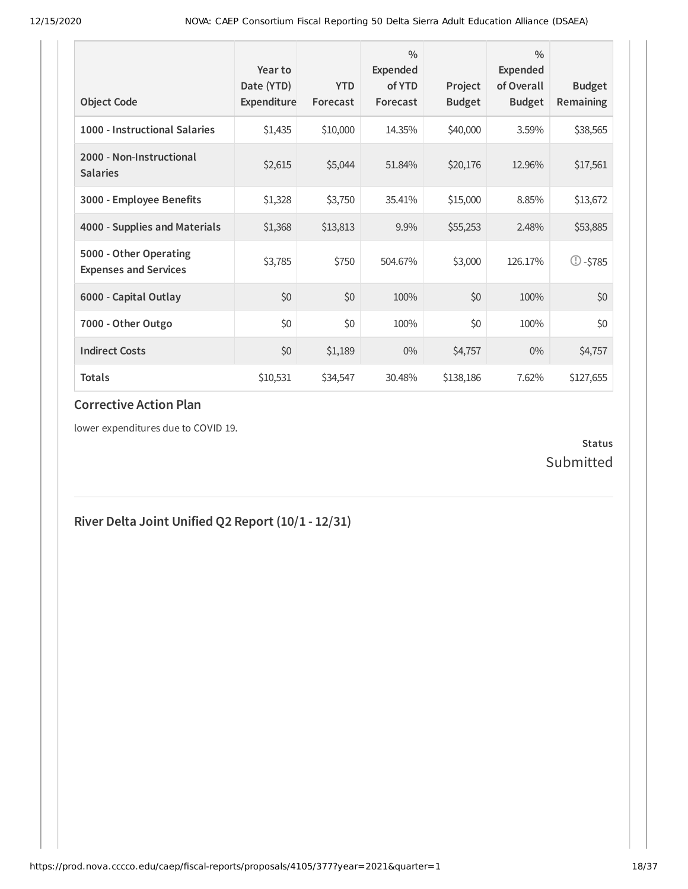| <b>Object Code</b>                                     | Year to<br>Date (YTD)<br>Expenditure | <b>YTD</b><br>Forecast | $\frac{0}{0}$<br>Expended<br>of YTD<br>Forecast | Project<br><b>Budget</b> | $\frac{0}{0}$<br><b>Expended</b><br>of Overall<br><b>Budget</b> | <b>Budget</b><br>Remaining |
|--------------------------------------------------------|--------------------------------------|------------------------|-------------------------------------------------|--------------------------|-----------------------------------------------------------------|----------------------------|
| 1000 - Instructional Salaries                          | \$1,435                              | \$10,000               | 14.35%                                          | \$40,000                 | 3.59%                                                           | \$38,565                   |
| 2000 - Non-Instructional<br><b>Salaries</b>            | \$2,615                              | \$5,044                | 51.84%                                          | \$20,176                 | 12.96%                                                          | \$17,561                   |
| 3000 - Employee Benefits                               | \$1,328                              | \$3,750                | 35.41%                                          | \$15,000                 | 8.85%                                                           | \$13,672                   |
| 4000 - Supplies and Materials                          | \$1,368                              | \$13,813               | 9.9%                                            | \$55,253                 | 2.48%                                                           | \$53,885                   |
| 5000 - Other Operating<br><b>Expenses and Services</b> | \$3,785                              | \$750                  | 504.67%                                         | \$3,000                  | 126.17%                                                         | $\mathbb{O}$ -\$785        |
| 6000 - Capital Outlay                                  | \$0                                  | \$0                    | 100%                                            | \$0                      | 100%                                                            | \$0                        |
| 7000 - Other Outgo                                     | \$0                                  | \$0                    | 100%                                            | \$0                      | 100%                                                            | \$0                        |
| <b>Indirect Costs</b>                                  | \$0                                  | \$1,189                | $0\%$                                           | \$4,757                  | $0\%$                                                           | \$4,757                    |
| <b>Totals</b>                                          | \$10,531                             | \$34,547               | 30.48%                                          | \$138,186                | 7.62%                                                           | \$127,655                  |

### **Corrective Action Plan**

lower expenditures due to COVID 19.

### **Status** Submitted

# **River Delta Joint Unified Q2 Report (10/1 - 12/31)**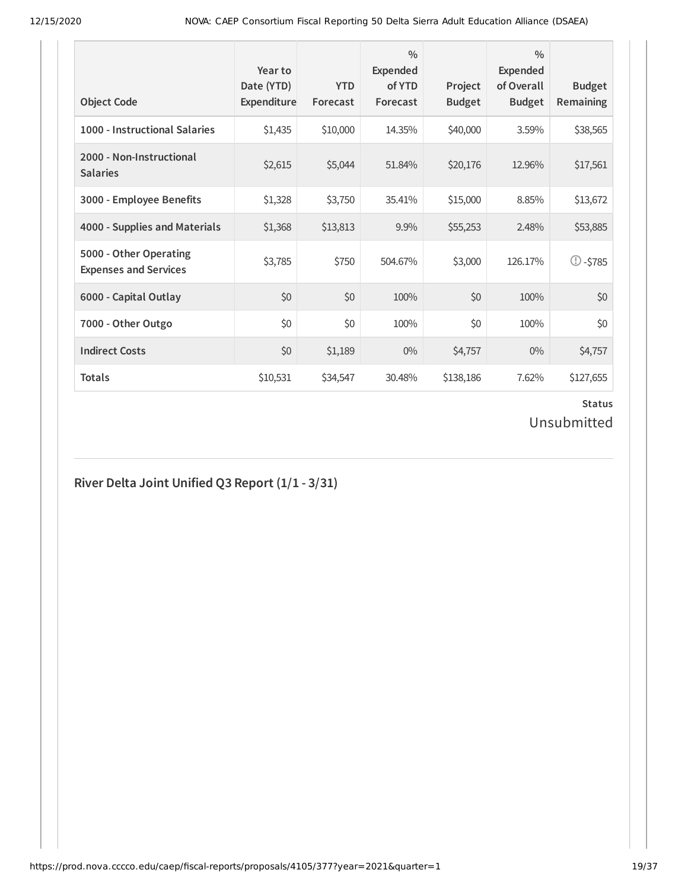| <b>Object Code</b>                                     | Year to<br>Date (YTD)<br>Expenditure | <b>YTD</b><br>Forecast | $\frac{0}{0}$<br>Expended<br>of YTD<br>Forecast | Project<br><b>Budget</b> | $\frac{0}{0}$<br><b>Expended</b><br>of Overall<br><b>Budget</b> | <b>Budget</b><br><b>Remaining</b> |
|--------------------------------------------------------|--------------------------------------|------------------------|-------------------------------------------------|--------------------------|-----------------------------------------------------------------|-----------------------------------|
| 1000 - Instructional Salaries                          | \$1,435                              | \$10,000               | 14.35%                                          | \$40,000                 | 3.59%                                                           | \$38,565                          |
| 2000 - Non-Instructional<br><b>Salaries</b>            | \$2,615                              | \$5,044                | 51.84%                                          | \$20,176                 | 12.96%                                                          | \$17,561                          |
| 3000 - Employee Benefits                               | \$1,328                              | \$3,750                | 35.41%                                          | \$15,000                 | 8.85%                                                           | \$13,672                          |
| 4000 - Supplies and Materials                          | \$1,368                              | \$13,813               | 9.9%                                            | \$55,253                 | 2.48%                                                           | \$53,885                          |
| 5000 - Other Operating<br><b>Expenses and Services</b> | \$3,785                              | \$750                  | 504.67%                                         | \$3,000                  | 126.17%                                                         | $\circled{1}$ -\$785              |
| 6000 - Capital Outlay                                  | \$0                                  | \$0                    | 100%                                            | \$0                      | 100%                                                            | \$0                               |
| 7000 - Other Outgo                                     | \$0                                  | \$0                    | 100%                                            | \$0                      | 100%                                                            | \$0                               |
| <b>Indirect Costs</b>                                  | \$0                                  | \$1,189                | $0\%$                                           | \$4,757                  | $0\%$                                                           | \$4,757                           |
| <b>Totals</b>                                          | \$10,531                             | \$34,547               | 30.48%                                          | \$138,186                | 7.62%                                                           | \$127,655                         |

### **Status** Unsubmitted

# **River Delta Joint Unified Q3 Report (1/1 - 3/31)**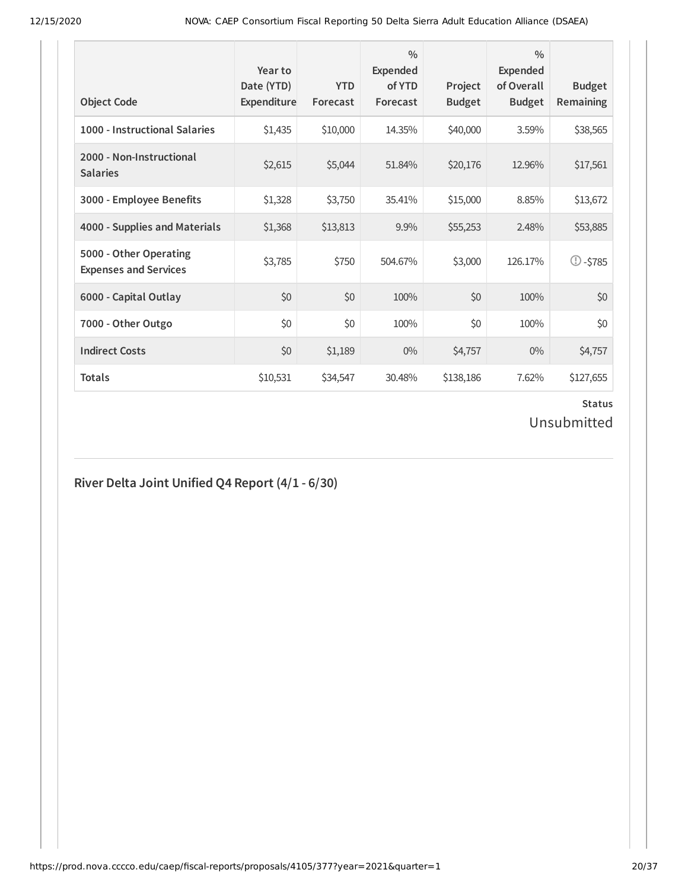| <b>Object Code</b>                                     | Year to<br>Date (YTD)<br>Expenditure | <b>YTD</b><br>Forecast | $\frac{0}{0}$<br><b>Expended</b><br>of YTD<br>Forecast | Project<br><b>Budget</b> | $\frac{0}{0}$<br><b>Expended</b><br>of Overall<br><b>Budget</b> | <b>Budget</b><br><b>Remaining</b> |
|--------------------------------------------------------|--------------------------------------|------------------------|--------------------------------------------------------|--------------------------|-----------------------------------------------------------------|-----------------------------------|
| 1000 - Instructional Salaries                          | \$1,435                              | \$10,000               | 14.35%                                                 | \$40,000                 | 3.59%                                                           | \$38,565                          |
| 2000 - Non-Instructional<br><b>Salaries</b>            | \$2,615                              | \$5,044                | 51.84%                                                 | \$20,176                 | 12.96%                                                          | \$17,561                          |
| 3000 - Employee Benefits                               | \$1,328                              | \$3,750                | 35.41%                                                 | \$15,000                 | 8.85%                                                           | \$13,672                          |
| 4000 - Supplies and Materials                          | \$1,368                              | \$13,813               | 9.9%                                                   | \$55,253                 | 2.48%                                                           | \$53,885                          |
| 5000 - Other Operating<br><b>Expenses and Services</b> | \$3,785                              | \$750                  | 504.67%                                                | \$3,000                  | 126.17%                                                         | $\circled{1}$ -\$785              |
| 6000 - Capital Outlay                                  | \$0                                  | \$0                    | 100%                                                   | \$0                      | 100%                                                            | \$0                               |
| 7000 - Other Outgo                                     | \$0                                  | \$0                    | 100%                                                   | \$0                      | 100%                                                            | \$0                               |
| <b>Indirect Costs</b>                                  | \$0                                  | \$1,189                | $0\%$                                                  | \$4,757                  | $0\%$                                                           | \$4,757                           |
| <b>Totals</b>                                          | \$10,531                             | \$34,547               | 30.48%                                                 | \$138,186                | 7.62%                                                           | \$127,655                         |

# Unsubmitted

# **River Delta Joint Unified Q4 Report (4/1 - 6/30)**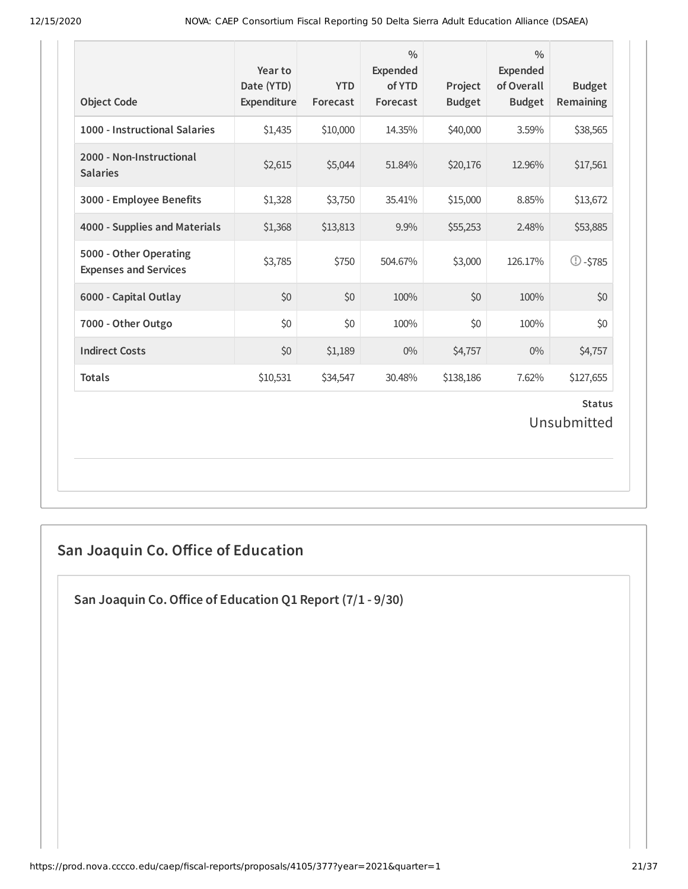| <b>Object Code</b>                                     | Year to<br>Date (YTD)<br>Expenditure | <b>YTD</b><br>Forecast | $\frac{0}{0}$<br>Expended<br>of YTD<br>Forecast | Project<br><b>Budget</b> | $\frac{0}{0}$<br><b>Expended</b><br>of Overall<br><b>Budget</b> | <b>Budget</b><br>Remaining |  |  |
|--------------------------------------------------------|--------------------------------------|------------------------|-------------------------------------------------|--------------------------|-----------------------------------------------------------------|----------------------------|--|--|
| 1000 - Instructional Salaries                          | \$1,435                              | \$10,000               | 14.35%                                          | \$40,000                 | 3.59%                                                           | \$38,565                   |  |  |
| 2000 - Non-Instructional<br><b>Salaries</b>            | \$2,615                              | \$5,044                | 51.84%                                          | \$20,176                 | 12.96%                                                          | \$17,561                   |  |  |
| 3000 - Employee Benefits                               | \$1,328                              | \$3,750                | 35.41%                                          | \$15,000                 | 8.85%                                                           | \$13,672                   |  |  |
| 4000 - Supplies and Materials                          | \$1,368                              | \$13,813               | 9.9%                                            | \$55,253                 | 2.48%                                                           | \$53,885                   |  |  |
| 5000 - Other Operating<br><b>Expenses and Services</b> | \$3,785                              | \$750                  | 504.67%                                         | \$3,000                  | 126.17%                                                         | $\mathbb{O}$ -\$785        |  |  |
| 6000 - Capital Outlay                                  | \$0                                  | \$0                    | 100%                                            | \$0                      | 100%                                                            | \$0                        |  |  |
| 7000 - Other Outgo                                     | \$0                                  | \$0                    | 100%                                            | \$0                      | 100%                                                            | \$0                        |  |  |
| <b>Indirect Costs</b>                                  | \$0                                  | \$1,189                | $0\%$                                           | \$4,757                  | $0\%$                                                           | \$4,757                    |  |  |
| <b>Totals</b>                                          | \$10,531                             | \$34,547               | 30.48%                                          | \$138,186                | 7.62%                                                           | \$127,655                  |  |  |
| <b>Status</b><br>Unsubmitted                           |                                      |                        |                                                 |                          |                                                                 |                            |  |  |

# **San Joaquin Co. Oice of Education**

**San Joaquin Co.Oice of Education Q1 Report (7/1 - 9/30)**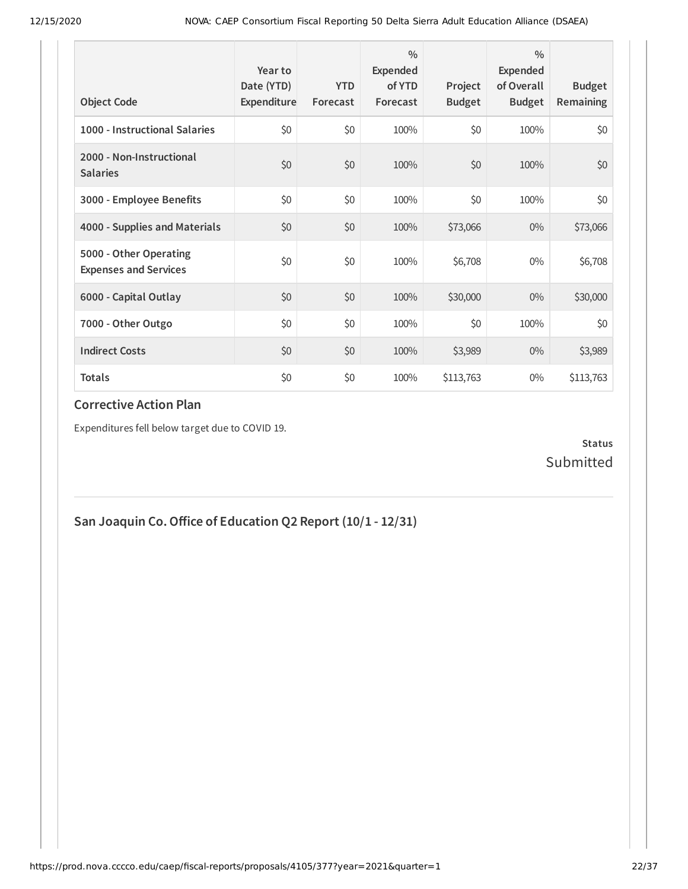| <b>Object Code</b>                                     | Year to<br>Date (YTD)<br>Expenditure | <b>YTD</b><br>Forecast | $\frac{0}{0}$<br><b>Expended</b><br>of YTD<br>Forecast | Project<br><b>Budget</b> | $\frac{0}{0}$<br>Expended<br>of Overall<br><b>Budget</b> | <b>Budget</b><br><b>Remaining</b> |
|--------------------------------------------------------|--------------------------------------|------------------------|--------------------------------------------------------|--------------------------|----------------------------------------------------------|-----------------------------------|
| 1000 - Instructional Salaries                          | \$0                                  | \$0                    | 100%                                                   | \$0                      | 100%                                                     | \$0                               |
| 2000 - Non-Instructional<br><b>Salaries</b>            | \$0                                  | \$0                    | 100%                                                   | \$0                      | 100%                                                     | \$0                               |
| 3000 - Employee Benefits                               | \$0                                  | \$0                    | 100%                                                   | \$0                      | 100%                                                     | \$0                               |
| 4000 - Supplies and Materials                          | \$0                                  | \$0                    | 100%                                                   | \$73,066                 | $0\%$                                                    | \$73,066                          |
| 5000 - Other Operating<br><b>Expenses and Services</b> | \$0                                  | \$0                    | 100%                                                   | \$6,708                  | $0\%$                                                    | \$6,708                           |
| 6000 - Capital Outlay                                  | \$0                                  | \$0                    | 100%                                                   | \$30,000                 | $0\%$                                                    | \$30,000                          |
| 7000 - Other Outgo                                     | \$0                                  | \$0                    | 100%                                                   | \$0                      | 100%                                                     | \$0                               |
| <b>Indirect Costs</b>                                  | \$0                                  | \$0                    | 100%                                                   | \$3,989                  | $0\%$                                                    | \$3,989                           |
| <b>Totals</b>                                          | \$0                                  | \$0                    | 100%                                                   | \$113,763                | $0\%$                                                    | \$113,763                         |

### **Corrective Action Plan**

Expenditures fell below target due to COVID 19.

### **Status** Submitted

**San Joaquin Co.Oice of Education Q2 Report (10/1 - 12/31)**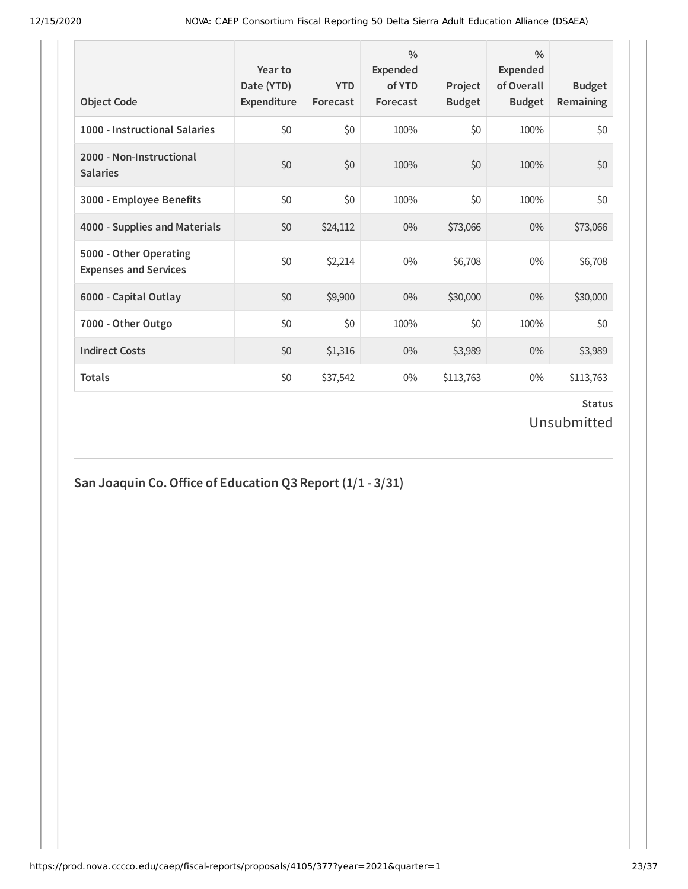| <b>Object Code</b>                                     | Year to<br>Date (YTD)<br>Expenditure | <b>YTD</b><br>Forecast | $\frac{0}{0}$<br>Expended<br>of YTD<br>Forecast | Project<br><b>Budget</b> | $\frac{0}{0}$<br>Expended<br>of Overall<br><b>Budget</b> | <b>Budget</b><br><b>Remaining</b> |
|--------------------------------------------------------|--------------------------------------|------------------------|-------------------------------------------------|--------------------------|----------------------------------------------------------|-----------------------------------|
| 1000 - Instructional Salaries                          | \$0                                  | \$0                    | 100%                                            | \$0                      | 100%                                                     | \$0                               |
| 2000 - Non-Instructional<br><b>Salaries</b>            | \$0                                  | \$0                    | 100%                                            | \$0                      | 100%                                                     | \$0                               |
| 3000 - Employee Benefits                               | \$0                                  | \$0                    | 100%                                            | \$0                      | 100%                                                     | \$0                               |
| 4000 - Supplies and Materials                          | \$0                                  | \$24,112               | $0\%$                                           | \$73,066                 | $0\%$                                                    | \$73,066                          |
| 5000 - Other Operating<br><b>Expenses and Services</b> | \$0                                  | \$2,214                | $0\%$                                           | \$6,708                  | $0\%$                                                    | \$6,708                           |
| 6000 - Capital Outlay                                  | \$0                                  | \$9,900                | $0\%$                                           | \$30,000                 | $0\%$                                                    | \$30,000                          |
| 7000 - Other Outgo                                     | \$0                                  | \$0                    | 100%                                            | \$0                      | 100%                                                     | \$0                               |
| <b>Indirect Costs</b>                                  | \$0                                  | \$1,316                | $0\%$                                           | \$3,989                  | $0\%$                                                    | \$3,989                           |
| <b>Totals</b>                                          | \$0                                  | \$37,542               | $0\%$                                           | \$113,763                | $0\%$                                                    | \$113,763                         |

## **Status** Unsubmitted

## **San Joaquin Co.Oice of Education Q3 Report (1/1 - 3/31)**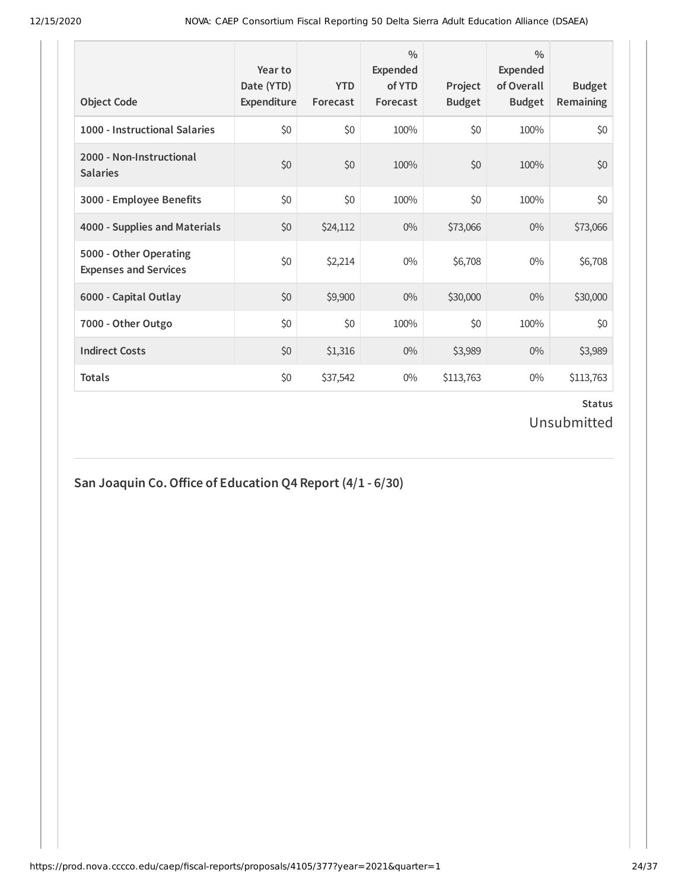| <b>Object Code</b>                                     | Year to<br>Date (YTD)<br>Expenditure | <b>YTD</b><br>Forecast | $\frac{0}{0}$<br>Expended<br>of YTD<br>Forecast | Project<br><b>Budget</b> | $\frac{0}{0}$<br>Expended<br>of Overall<br><b>Budget</b> | <b>Budget</b><br><b>Remaining</b> |
|--------------------------------------------------------|--------------------------------------|------------------------|-------------------------------------------------|--------------------------|----------------------------------------------------------|-----------------------------------|
| 1000 - Instructional Salaries                          | \$0                                  | \$0                    | 100%                                            | \$0                      | 100%                                                     | \$0                               |
| 2000 - Non-Instructional<br><b>Salaries</b>            | \$0                                  | \$0                    | 100%                                            | \$0                      | 100%                                                     | \$0                               |
| 3000 - Employee Benefits                               | \$0                                  | \$0                    | 100%                                            | \$0                      | 100%                                                     | \$0                               |
| 4000 - Supplies and Materials                          | \$0                                  | \$24,112               | $0\%$                                           | \$73,066                 | $0\%$                                                    | \$73,066                          |
| 5000 - Other Operating<br><b>Expenses and Services</b> | \$0                                  | \$2,214                | $0\%$                                           | \$6,708                  | $0\%$                                                    | \$6,708                           |
| 6000 - Capital Outlay                                  | \$0                                  | \$9,900                | $0\%$                                           | \$30,000                 | $0\%$                                                    | \$30,000                          |
| 7000 - Other Outgo                                     | \$0                                  | \$0                    | 100%                                            | \$0                      | 100%                                                     | \$0                               |
| <b>Indirect Costs</b>                                  | \$0                                  | \$1,316                | $0\%$                                           | \$3,989                  | $0\%$                                                    | \$3,989                           |
| <b>Totals</b>                                          | \$0                                  | \$37,542               | $0\%$                                           | \$113,763                | $0\%$                                                    | \$113,763                         |

### **Status** Unsubmitted

## **San Joaquin Co.Oice of Education Q4 Report (4/1 - 6/30)**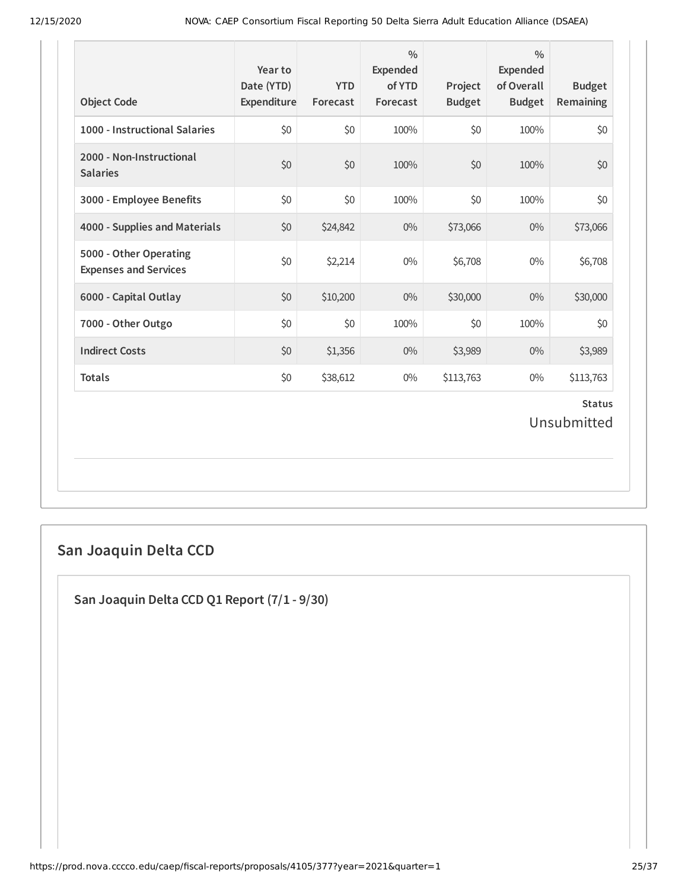| <b>Object Code</b>                                     | Year to<br>Date (YTD)<br>Expenditure | <b>YTD</b><br>Forecast | $\frac{0}{0}$<br>Expended<br>of YTD<br>Forecast | Project<br><b>Budget</b> | $\frac{0}{0}$<br><b>Expended</b><br>of Overall<br><b>Budget</b> | <b>Budget</b><br>Remaining |  |
|--------------------------------------------------------|--------------------------------------|------------------------|-------------------------------------------------|--------------------------|-----------------------------------------------------------------|----------------------------|--|
| 1000 - Instructional Salaries                          | \$0                                  | \$0                    | 100%                                            | \$0                      | 100%                                                            | \$0                        |  |
| 2000 - Non-Instructional<br><b>Salaries</b>            | \$0                                  | \$0                    | 100%                                            | \$0                      | 100%                                                            | \$0                        |  |
| 3000 - Employee Benefits                               | \$0                                  | \$0                    | 100%                                            | \$0                      | 100%                                                            | \$0                        |  |
| 4000 - Supplies and Materials                          | \$0                                  | \$24,842               | $0\%$                                           | \$73,066                 | 0%                                                              | \$73,066                   |  |
| 5000 - Other Operating<br><b>Expenses and Services</b> | \$0                                  | \$2,214                | $0\%$                                           | \$6,708                  | $0\%$                                                           | \$6,708                    |  |
| 6000 - Capital Outlay                                  | \$0                                  | \$10,200               | $0\%$                                           | \$30,000                 | $0\%$                                                           | \$30,000                   |  |
| 7000 - Other Outgo                                     | \$0                                  | \$0                    | 100%                                            | \$0                      | 100%                                                            | \$0                        |  |
| <b>Indirect Costs</b>                                  | \$0                                  | \$1,356                | $0\%$                                           | \$3,989                  | $0\%$                                                           | \$3,989                    |  |
| <b>Totals</b>                                          | \$0                                  | \$38,612               | $0\%$                                           | \$113,763                | $0\%$                                                           | \$113,763                  |  |
| <b>Status</b><br>Unsubmitted                           |                                      |                        |                                                 |                          |                                                                 |                            |  |

# **San Joaquin Delta CCD**

**San Joaquin Delta CCD Q1 Report (7/1 - 9/30)**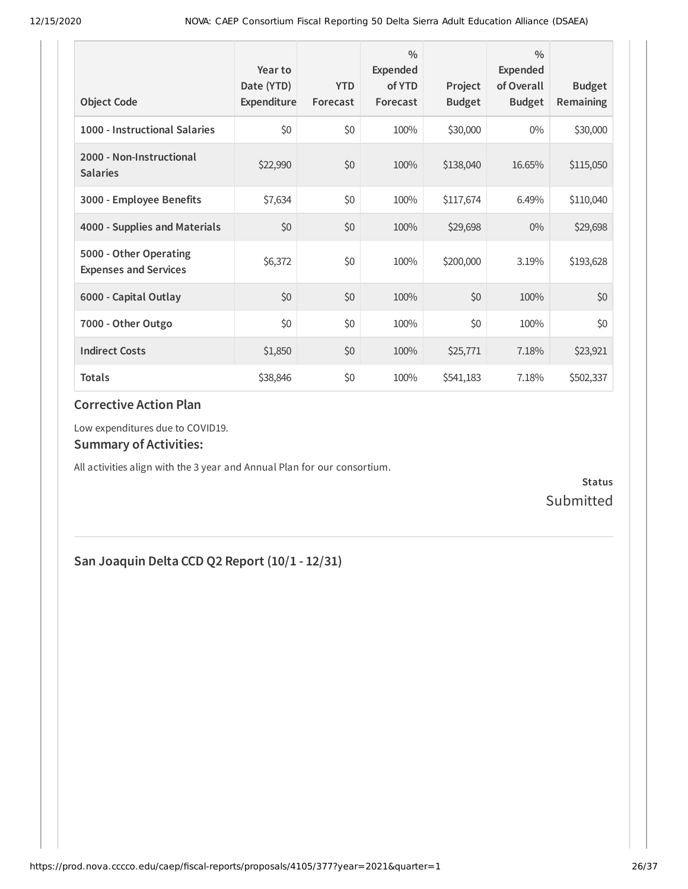| <b>Object Code</b>                                     | Year to<br>Date (YTD)<br>Expenditure | <b>YTD</b><br>Forecast | $\frac{0}{0}$<br>Expended<br>of YTD<br>Forecast | Project<br><b>Budget</b> | $\frac{0}{0}$<br><b>Expended</b><br>of Overall<br><b>Budget</b> | <b>Budget</b><br>Remaining |
|--------------------------------------------------------|--------------------------------------|------------------------|-------------------------------------------------|--------------------------|-----------------------------------------------------------------|----------------------------|
| 1000 - Instructional Salaries                          | \$0                                  | \$0                    | 100%                                            | \$30,000                 | $0\%$                                                           | \$30,000                   |
| 2000 - Non-Instructional<br><b>Salaries</b>            | \$22,990                             | \$0                    | 100%                                            | \$138,040                | 16.65%                                                          | \$115,050                  |
| 3000 - Employee Benefits                               | \$7,634                              | \$0                    | 100%                                            | \$117,674                | 6.49%                                                           | \$110,040                  |
| 4000 - Supplies and Materials                          | \$0                                  | \$0                    | 100%                                            | \$29,698                 | $0\%$                                                           | \$29,698                   |
| 5000 - Other Operating<br><b>Expenses and Services</b> | \$6,372                              | \$0                    | 100%                                            | \$200,000                | 3.19%                                                           | \$193,628                  |
| 6000 - Capital Outlay                                  | \$0                                  | \$0                    | 100%                                            | \$0                      | 100%                                                            | \$0                        |
| 7000 - Other Outgo                                     | \$0                                  | \$0                    | 100%                                            | \$0                      | 100%                                                            | \$0                        |
| <b>Indirect Costs</b>                                  | \$1,850                              | \$0                    | 100%                                            | \$25,771                 | 7.18%                                                           | \$23,921                   |
| <b>Totals</b>                                          | \$38,846                             | \$0                    | 100%                                            | \$541,183                | 7.18%                                                           | \$502,337                  |

### **Corrective Action Plan**

Low expenditures due to COVID19.

#### **Summary of Activities:**

All activities align with the 3 year and Annual Plan for our consortium.

**Status** Submitted

## **San Joaquin Delta CCD Q2 Report (10/1 - 12/31)**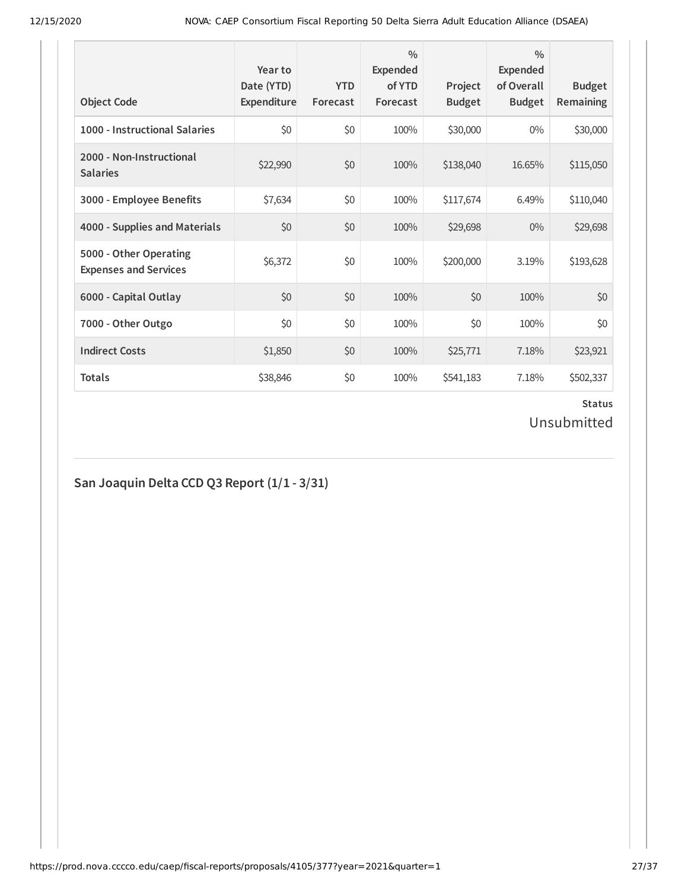| <b>Object Code</b>                                     | Year to<br>Date (YTD)<br>Expenditure | <b>YTD</b><br>Forecast | $\frac{0}{0}$<br>Expended<br>of YTD<br>Forecast | Project<br><b>Budget</b> | $\frac{0}{0}$<br>Expended<br>of Overall<br><b>Budget</b> | <b>Budget</b><br><b>Remaining</b> |
|--------------------------------------------------------|--------------------------------------|------------------------|-------------------------------------------------|--------------------------|----------------------------------------------------------|-----------------------------------|
| 1000 - Instructional Salaries                          | \$0                                  | \$0                    | 100%                                            | \$30,000                 | $0\%$                                                    | \$30,000                          |
| 2000 - Non-Instructional<br><b>Salaries</b>            | \$22,990                             | \$0                    | 100%                                            | \$138,040                | 16.65%                                                   | \$115,050                         |
| 3000 - Employee Benefits                               | \$7,634                              | \$0                    | 100%                                            | \$117,674                | 6.49%                                                    | \$110,040                         |
| 4000 - Supplies and Materials                          | \$0                                  | \$0                    | 100%                                            | \$29,698                 | $0\%$                                                    | \$29,698                          |
| 5000 - Other Operating<br><b>Expenses and Services</b> | \$6,372                              | \$0                    | 100%                                            | \$200,000                | 3.19%                                                    | \$193,628                         |
| 6000 - Capital Outlay                                  | \$0                                  | \$0                    | 100%                                            | \$0                      | 100%                                                     | \$0                               |
| 7000 - Other Outgo                                     | \$0                                  | \$0                    | 100%                                            | \$0                      | 100%                                                     | \$0                               |
| <b>Indirect Costs</b>                                  | \$1,850                              | \$0                    | 100%                                            | \$25,771                 | 7.18%                                                    | \$23,921                          |
| <b>Totals</b>                                          | \$38,846                             | \$0                    | 100%                                            | \$541,183                | 7.18%                                                    | \$502,337                         |

# Unsubmitted

# **San Joaquin Delta CCD Q3 Report (1/1 - 3/31)**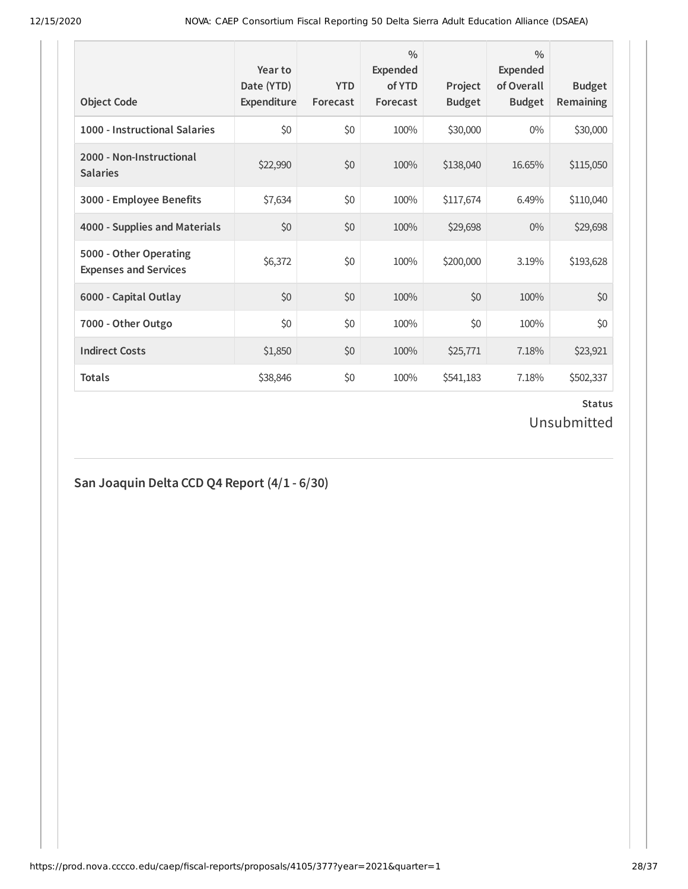| <b>Object Code</b>                                     | Year to<br>Date (YTD)<br>Expenditure | <b>YTD</b><br>Forecast | $\frac{0}{0}$<br>Expended<br>of YTD<br>Forecast | Project<br><b>Budget</b> | $\frac{0}{0}$<br>Expended<br>of Overall<br><b>Budget</b> | <b>Budget</b><br><b>Remaining</b> |
|--------------------------------------------------------|--------------------------------------|------------------------|-------------------------------------------------|--------------------------|----------------------------------------------------------|-----------------------------------|
| 1000 - Instructional Salaries                          | \$0                                  | \$0                    | 100%                                            | \$30,000                 | $0\%$                                                    | \$30,000                          |
| 2000 - Non-Instructional<br><b>Salaries</b>            | \$22,990                             | \$0                    | 100%                                            | \$138,040                | 16.65%                                                   | \$115,050                         |
| 3000 - Employee Benefits                               | \$7,634                              | \$0                    | 100%                                            | \$117,674                | 6.49%                                                    | \$110,040                         |
| 4000 - Supplies and Materials                          | \$0                                  | \$0                    | 100%                                            | \$29,698                 | $0\%$                                                    | \$29,698                          |
| 5000 - Other Operating<br><b>Expenses and Services</b> | \$6,372                              | \$0                    | 100%                                            | \$200,000                | 3.19%                                                    | \$193,628                         |
| 6000 - Capital Outlay                                  | \$0                                  | \$0                    | 100%                                            | \$0                      | 100%                                                     | \$0                               |
| 7000 - Other Outgo                                     | \$0                                  | \$0                    | 100%                                            | \$0                      | 100%                                                     | \$0                               |
| <b>Indirect Costs</b>                                  | \$1,850                              | \$0                    | 100%                                            | \$25,771                 | 7.18%                                                    | \$23,921                          |
| <b>Totals</b>                                          | \$38,846                             | \$0                    | 100%                                            | \$541,183                | 7.18%                                                    | \$502,337                         |

# Unsubmitted

# **San Joaquin Delta CCD Q4 Report (4/1 - 6/30)**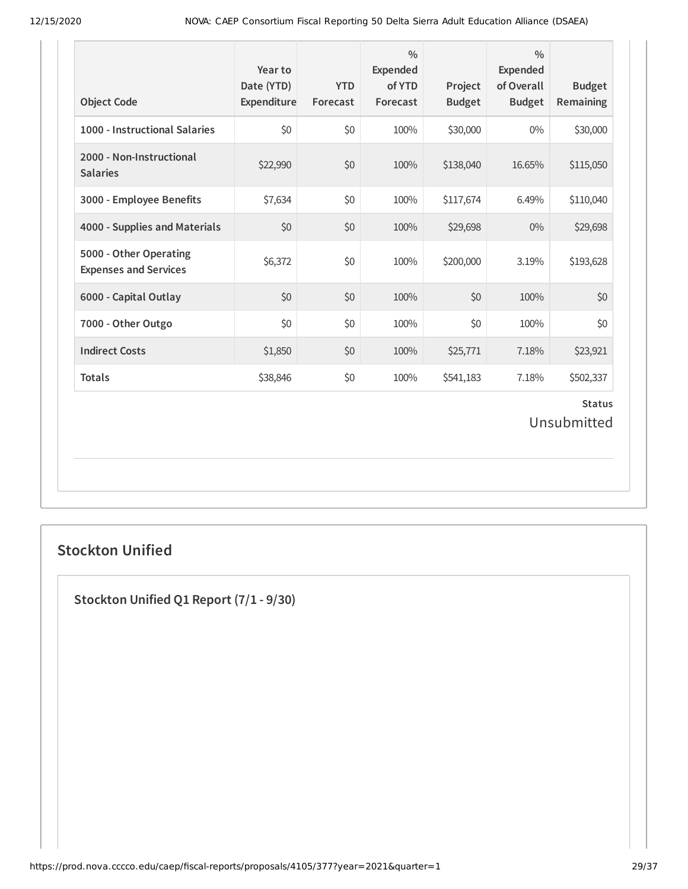| <b>Object Code</b>                                     | Year to<br>Date (YTD)<br>Expenditure | <b>YTD</b><br>Forecast | $\frac{0}{0}$<br><b>Expended</b><br>of YTD<br>Forecast | Project<br><b>Budget</b> | $\frac{0}{0}$<br><b>Expended</b><br>of Overall<br><b>Budget</b> | <b>Budget</b><br>Remaining |  |  |
|--------------------------------------------------------|--------------------------------------|------------------------|--------------------------------------------------------|--------------------------|-----------------------------------------------------------------|----------------------------|--|--|
| 1000 - Instructional Salaries                          | \$0                                  | \$0                    | 100%                                                   | \$30,000                 | $0\%$                                                           | \$30,000                   |  |  |
| 2000 - Non-Instructional<br><b>Salaries</b>            | \$22,990                             | \$0                    | 100%                                                   | \$138,040                | 16.65%                                                          | \$115,050                  |  |  |
| 3000 - Employee Benefits                               | \$7,634                              | \$0                    | 100%                                                   | \$117,674                | 6.49%                                                           | \$110,040                  |  |  |
| 4000 - Supplies and Materials                          | \$0                                  | \$0                    | 100%                                                   | \$29,698                 | $0\%$                                                           | \$29,698                   |  |  |
| 5000 - Other Operating<br><b>Expenses and Services</b> | \$6,372                              | \$0                    | 100%                                                   | \$200,000                | 3.19%                                                           | \$193,628                  |  |  |
| 6000 - Capital Outlay                                  | \$0                                  | \$0                    | 100%                                                   | \$0                      | 100%                                                            | \$0                        |  |  |
| 7000 - Other Outgo                                     | \$0                                  | \$0                    | 100%                                                   | \$0                      | 100%                                                            | \$0                        |  |  |
| <b>Indirect Costs</b>                                  | \$1,850                              | \$0                    | 100%                                                   | \$25,771                 | 7.18%                                                           | \$23,921                   |  |  |
| <b>Totals</b>                                          | \$38,846                             | \$0                    | 100%                                                   | \$541,183                | 7.18%                                                           | \$502,337                  |  |  |
| <b>Status</b><br>Unsubmitted                           |                                      |                        |                                                        |                          |                                                                 |                            |  |  |

## **Stockton Unified**

**Stockton Unified Q1 Report (7/1 - 9/30)**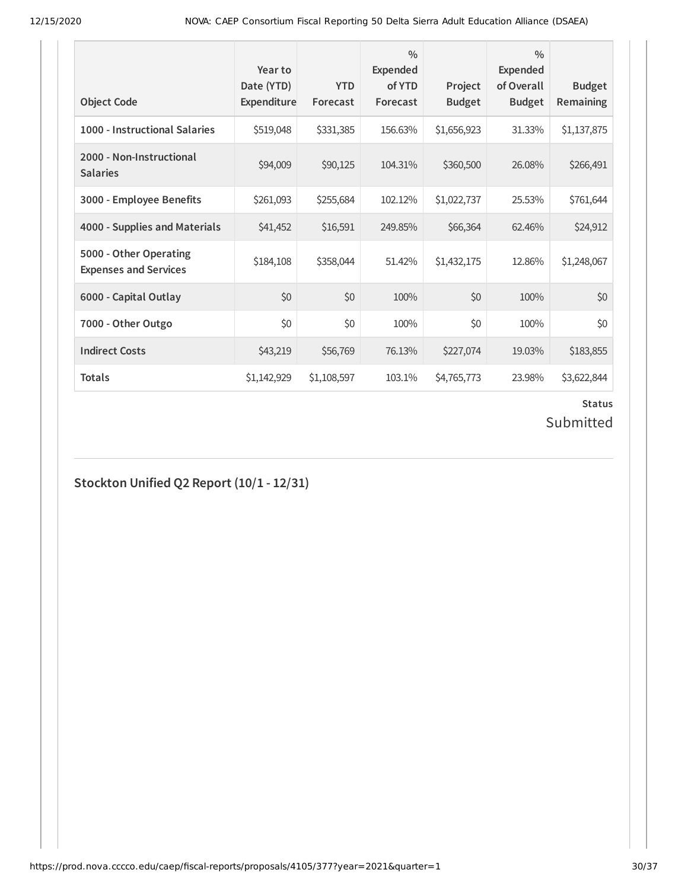| <b>Object Code</b>                                     | Year to<br>Date (YTD)<br>Expenditure | <b>YTD</b><br>Forecast | $\frac{0}{0}$<br><b>Expended</b><br>of YTD<br>Forecast | Project<br><b>Budget</b> | $\frac{0}{0}$<br><b>Expended</b><br>of Overall<br><b>Budget</b> | <b>Budget</b><br><b>Remaining</b> |
|--------------------------------------------------------|--------------------------------------|------------------------|--------------------------------------------------------|--------------------------|-----------------------------------------------------------------|-----------------------------------|
| 1000 - Instructional Salaries                          | \$519,048                            | \$331,385              | 156.63%                                                | \$1,656,923              | 31.33%                                                          | \$1,137,875                       |
| 2000 - Non-Instructional<br><b>Salaries</b>            | \$94,009                             | \$90,125               | 104.31%                                                | \$360,500                | 26.08%                                                          | \$266,491                         |
| 3000 - Employee Benefits                               | \$261,093                            | \$255,684              | 102.12%                                                | \$1,022,737              | 25.53%                                                          | \$761,644                         |
| 4000 - Supplies and Materials                          | \$41,452                             | \$16,591               | 249.85%                                                | \$66,364                 | 62.46%                                                          | \$24,912                          |
| 5000 - Other Operating<br><b>Expenses and Services</b> | \$184,108                            | \$358,044              | 51.42%                                                 | \$1,432,175              | 12.86%                                                          | \$1,248,067                       |
| 6000 - Capital Outlay                                  | \$0                                  | \$0                    | 100%                                                   | \$0                      | 100%                                                            | \$0                               |
| 7000 - Other Outgo                                     | \$0                                  | \$0                    | 100%                                                   | \$0                      | 100%                                                            | \$0                               |
| <b>Indirect Costs</b>                                  | \$43,219                             | \$56,769               | 76.13%                                                 | \$227,074                | 19.03%                                                          | \$183,855                         |
| <b>Totals</b>                                          | \$1,142,929                          | \$1,108,597            | 103.1%                                                 | \$4,765,773              | 23.98%                                                          | \$3,622,844                       |

# Submitted

**Stockton Unified Q2 Report (10/1 - 12/31)**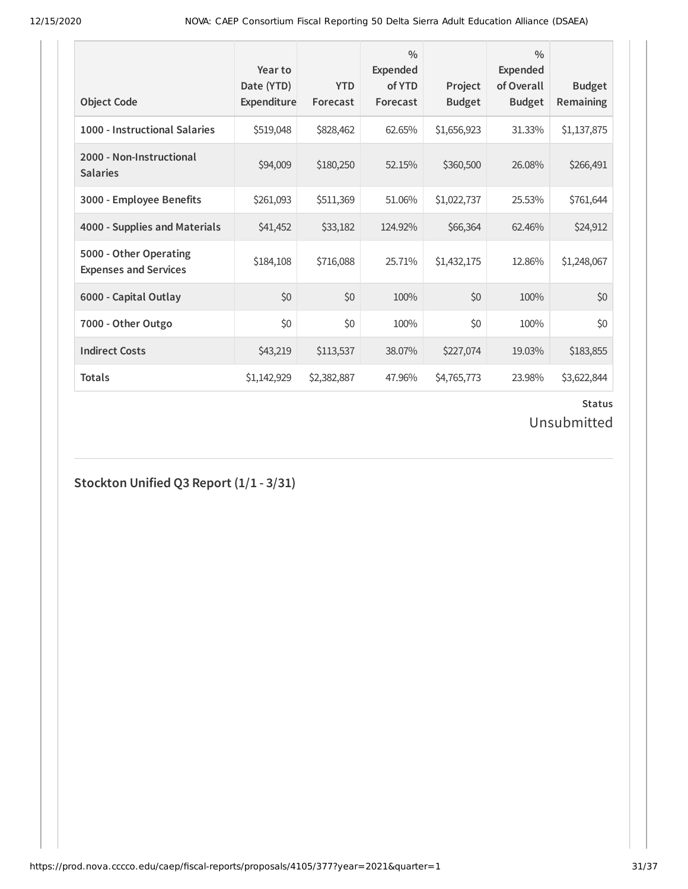| <b>Object Code</b>                                     | Year to<br>Date (YTD)<br>Expenditure | <b>YTD</b><br>Forecast | $\frac{0}{0}$<br><b>Expended</b><br>of YTD<br>Forecast | Project<br><b>Budget</b> | $\frac{0}{0}$<br>Expended<br>of Overall<br><b>Budget</b> | <b>Budget</b><br>Remaining |
|--------------------------------------------------------|--------------------------------------|------------------------|--------------------------------------------------------|--------------------------|----------------------------------------------------------|----------------------------|
| 1000 - Instructional Salaries                          | \$519,048                            | \$828,462              | 62.65%                                                 | \$1,656,923              | 31.33%                                                   | \$1,137,875                |
| 2000 - Non-Instructional<br><b>Salaries</b>            | \$94,009                             | \$180,250              | 52.15%                                                 | \$360,500                | 26.08%                                                   | \$266,491                  |
| 3000 - Employee Benefits                               | \$261,093                            | \$511,369              | 51.06%                                                 | \$1,022,737              | 25.53%                                                   | \$761,644                  |
| 4000 - Supplies and Materials                          | \$41,452                             | \$33,182               | 124.92%                                                | \$66,364                 | 62.46%                                                   | \$24,912                   |
| 5000 - Other Operating<br><b>Expenses and Services</b> | \$184,108                            | \$716,088              | 25.71%                                                 | \$1,432,175              | 12.86%                                                   | \$1,248,067                |
| 6000 - Capital Outlay                                  | \$0                                  | \$0                    | 100%                                                   | \$0                      | 100%                                                     | \$0                        |
| 7000 - Other Outgo                                     | \$0                                  | \$0                    | 100%                                                   | \$0                      | 100%                                                     | \$0                        |
| <b>Indirect Costs</b>                                  | \$43,219                             | \$113,537              | 38.07%                                                 | \$227,074                | 19.03%                                                   | \$183,855                  |
| <b>Totals</b>                                          | \$1,142,929                          | \$2,382,887            | 47.96%                                                 | \$4,765,773              | 23.98%                                                   | \$3,622,844                |

Unsubmitted

**Stockton Unified Q3 Report (1/1 - 3/31)**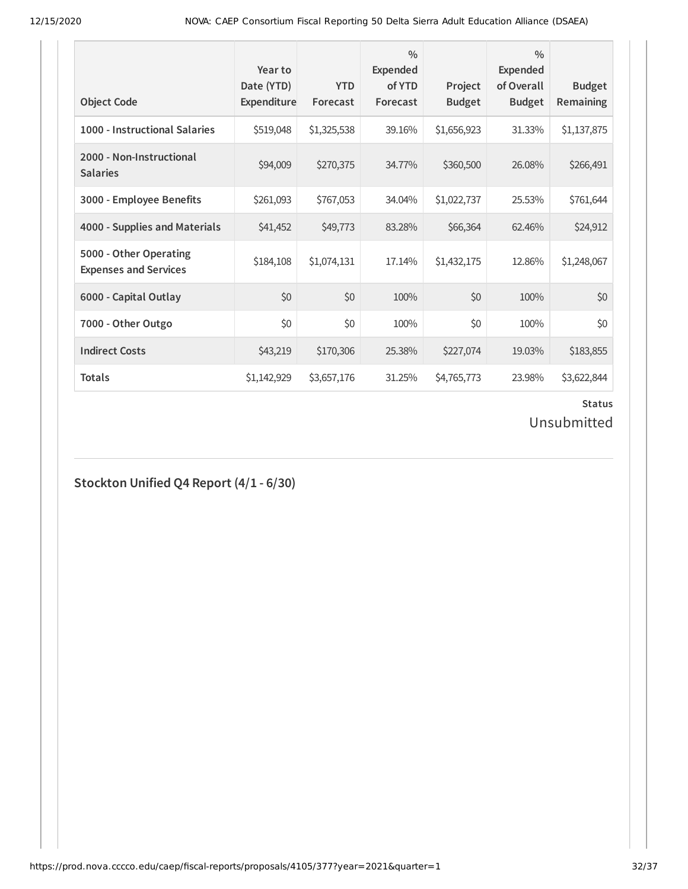| <b>Object Code</b>                                     | Year to<br>Date (YTD)<br>Expenditure | <b>YTD</b><br>Forecast | $\frac{0}{0}$<br><b>Expended</b><br>of YTD<br>Forecast | Project<br><b>Budget</b> | $\frac{0}{0}$<br>Expended<br>of Overall<br><b>Budget</b> | <b>Budget</b><br>Remaining |
|--------------------------------------------------------|--------------------------------------|------------------------|--------------------------------------------------------|--------------------------|----------------------------------------------------------|----------------------------|
| 1000 - Instructional Salaries                          | \$519,048                            | \$1,325,538            | 39.16%                                                 | \$1,656,923              | 31.33%                                                   | \$1,137,875                |
| 2000 - Non-Instructional<br><b>Salaries</b>            | \$94,009                             | \$270,375              | 34.77%                                                 | \$360,500                | 26.08%                                                   | \$266,491                  |
| 3000 - Employee Benefits                               | \$261,093                            | \$767,053              | 34.04%                                                 | \$1,022,737              | 25.53%                                                   | \$761,644                  |
| 4000 - Supplies and Materials                          | \$41,452                             | \$49,773               | 83.28%                                                 | \$66,364                 | 62.46%                                                   | \$24,912                   |
| 5000 - Other Operating<br><b>Expenses and Services</b> | \$184,108                            | \$1,074,131            | 17.14%                                                 | \$1,432,175              | 12.86%                                                   | \$1,248,067                |
| 6000 - Capital Outlay                                  | \$0                                  | \$0                    | 100%                                                   | \$0                      | 100%                                                     | \$0                        |
| 7000 - Other Outgo                                     | \$0                                  | \$0                    | 100%                                                   | \$0                      | 100%                                                     | \$0                        |
| <b>Indirect Costs</b>                                  | \$43,219                             | \$170,306              | 25.38%                                                 | \$227,074                | 19.03%                                                   | \$183,855                  |
| <b>Totals</b>                                          | \$1,142,929                          | \$3,657,176            | 31.25%                                                 | \$4,765,773              | 23.98%                                                   | \$3,622,844                |

Unsubmitted

## **Stockton Unified Q4 Report (4/1 - 6/30)**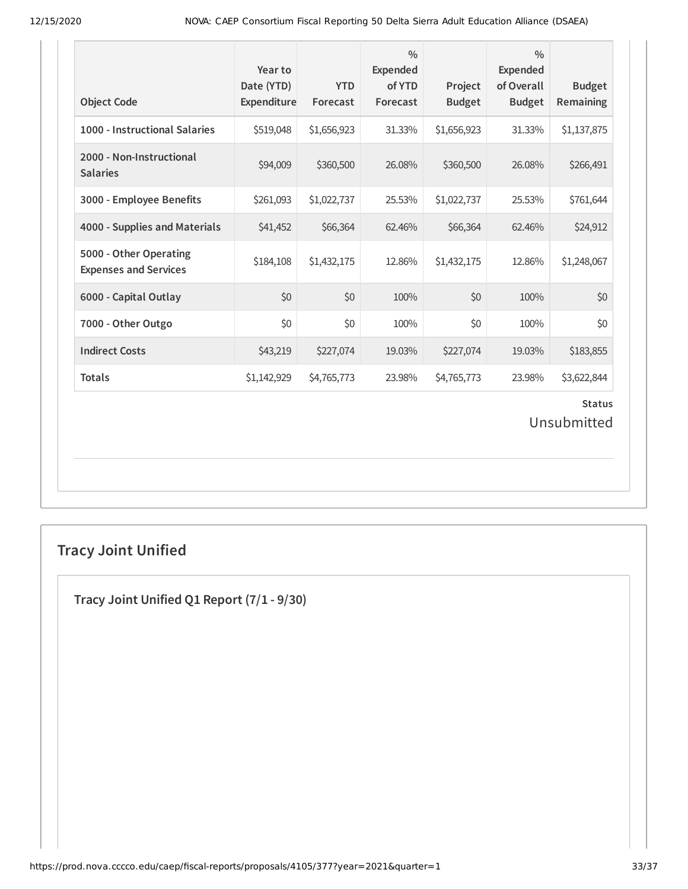| <b>Object Code</b>                                     | Year to<br>Date (YTD)<br>Expenditure | <b>YTD</b><br>Forecast | $\frac{0}{0}$<br>Expended<br>of YTD<br>Forecast | Project<br><b>Budget</b> | $\frac{0}{0}$<br>Expended<br>of Overall<br><b>Budget</b> | <b>Budget</b><br>Remaining |  |  |
|--------------------------------------------------------|--------------------------------------|------------------------|-------------------------------------------------|--------------------------|----------------------------------------------------------|----------------------------|--|--|
| 1000 - Instructional Salaries                          | \$519,048                            | \$1,656,923            | 31.33%                                          | \$1,656,923              | 31.33%                                                   | \$1,137,875                |  |  |
| 2000 - Non-Instructional<br><b>Salaries</b>            | \$94,009                             | \$360,500              | 26.08%                                          | \$360,500                | 26.08%                                                   | \$266,491                  |  |  |
| 3000 - Employee Benefits                               | \$261,093                            | \$1,022,737            | 25.53%                                          | \$1,022,737              | 25.53%                                                   | \$761,644                  |  |  |
| 4000 - Supplies and Materials                          | \$41,452                             | \$66,364               | 62.46%                                          | \$66,364                 | 62.46%                                                   | \$24,912                   |  |  |
| 5000 - Other Operating<br><b>Expenses and Services</b> | \$184,108                            | \$1,432,175            | 12.86%                                          | \$1,432,175              | 12.86%                                                   | \$1,248,067                |  |  |
| 6000 - Capital Outlay                                  | \$0                                  | \$0                    | 100%                                            | \$0                      | 100%                                                     | \$0                        |  |  |
| 7000 - Other Outgo                                     | \$0                                  | \$0                    | 100%                                            | \$0                      | 100%                                                     | \$0                        |  |  |
| <b>Indirect Costs</b>                                  | \$43,219                             | \$227,074              | 19.03%                                          | \$227,074                | 19.03%                                                   | \$183,855                  |  |  |
| <b>Totals</b>                                          | \$1,142,929                          | \$4,765,773            | 23.98%                                          | \$4,765,773              | 23.98%                                                   | \$3,622,844                |  |  |
| <b>Status</b><br>Unsubmitted                           |                                      |                        |                                                 |                          |                                                          |                            |  |  |

# **Tracy Joint Unified**

**Tracy Joint Unified Q1 Report (7/1 - 9/30)**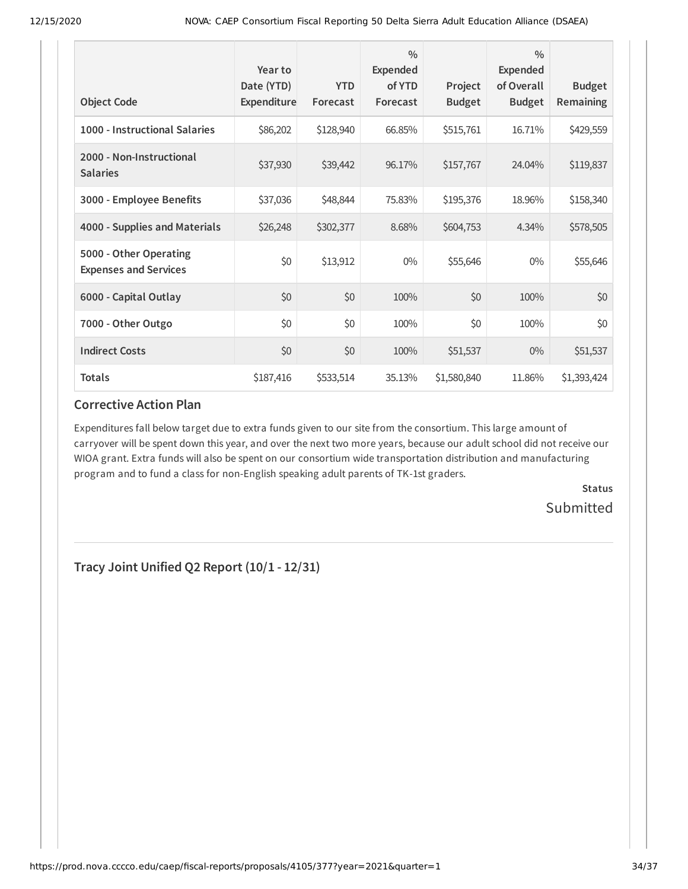| <b>Object Code</b>                                     | Year to<br>Date (YTD)<br><b>Expenditure</b> | <b>YTD</b><br>Forecast | $\frac{0}{0}$<br><b>Expended</b><br>of YTD<br>Forecast | Project<br><b>Budget</b> | $\frac{0}{0}$<br><b>Expended</b><br>of Overall<br><b>Budget</b> | <b>Budget</b><br>Remaining |
|--------------------------------------------------------|---------------------------------------------|------------------------|--------------------------------------------------------|--------------------------|-----------------------------------------------------------------|----------------------------|
| 1000 - Instructional Salaries                          | \$86,202                                    | \$128,940              | 66.85%                                                 | \$515,761                | 16.71%                                                          | \$429,559                  |
| 2000 - Non-Instructional<br><b>Salaries</b>            | \$37,930                                    | \$39,442               | 96.17%                                                 | \$157,767                | 24.04%                                                          | \$119,837                  |
| 3000 - Employee Benefits                               | \$37,036                                    | \$48,844               | 75.83%                                                 | \$195,376                | 18.96%                                                          | \$158,340                  |
| 4000 - Supplies and Materials                          | \$26,248                                    | \$302,377              | 8.68%                                                  | \$604,753                | 4.34%                                                           | \$578,505                  |
| 5000 - Other Operating<br><b>Expenses and Services</b> | \$0                                         | \$13,912               | $0\%$                                                  | \$55,646                 | $0\%$                                                           | \$55,646                   |
| 6000 - Capital Outlay                                  | \$0                                         | \$0                    | 100%                                                   | \$0                      | 100%                                                            | \$0                        |
| 7000 - Other Outgo                                     | \$0                                         | \$0                    | 100%                                                   | \$0                      | 100%                                                            | \$0                        |
| <b>Indirect Costs</b>                                  | \$0                                         | \$0                    | 100%                                                   | \$51,537                 | $0\%$                                                           | \$51,537                   |
| <b>Totals</b>                                          | \$187,416                                   | \$533,514              | 35.13%                                                 | \$1,580,840              | 11.86%                                                          | \$1,393,424                |

### **Corrective Action Plan**

Expenditures fall below target due to extra funds given to our site from the consortium. This large amount of carryover will be spent down this year, and over the next two more years, because our adult school did not receive our WIOA grant. Extra funds will also be spent on our consortium wide transportation distribution and manufacturing program and to fund a class for non-English speaking adult parents of TK-1st graders.

> **Status Submitted**

**Tracy Joint Unified Q2 Report (10/1 - 12/31)**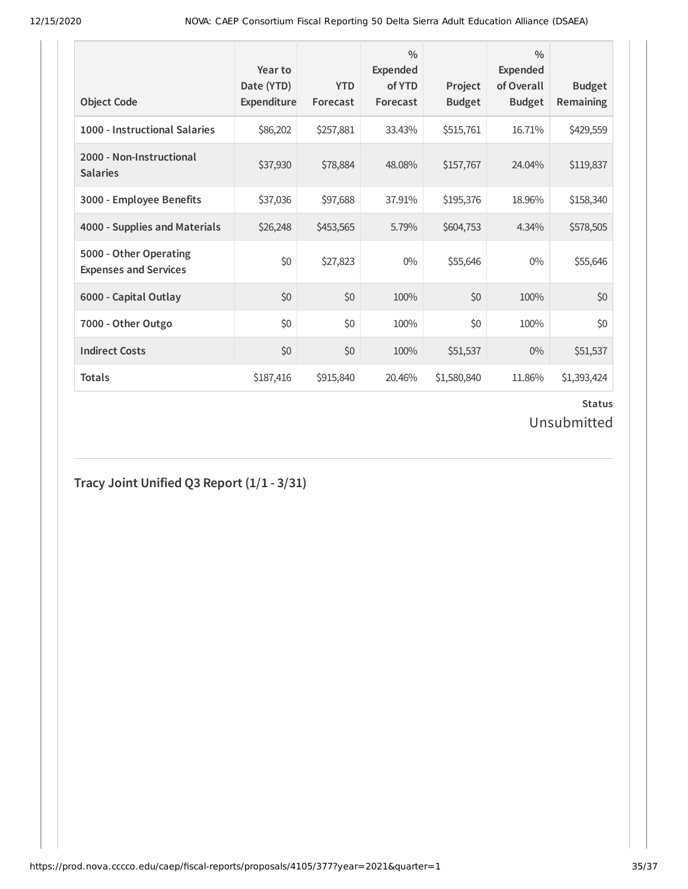| <b>Object Code</b>                                     | Year to<br>Date (YTD)<br>Expenditure | <b>YTD</b><br>Forecast | $\frac{0}{0}$<br>Expended<br>of YTD<br>Forecast | Project<br><b>Budget</b> | $\frac{0}{0}$<br>Expended<br>of Overall<br><b>Budget</b> | <b>Budget</b><br><b>Remaining</b> |
|--------------------------------------------------------|--------------------------------------|------------------------|-------------------------------------------------|--------------------------|----------------------------------------------------------|-----------------------------------|
| 1000 - Instructional Salaries                          | \$86,202                             | \$257,881              | 33.43%                                          | \$515,761                | 16.71%                                                   | \$429,559                         |
| 2000 - Non-Instructional<br><b>Salaries</b>            | \$37,930                             | \$78,884               | 48.08%                                          | \$157,767                | 24.04%                                                   | \$119,837                         |
| 3000 - Employee Benefits                               | \$37,036                             | \$97,688               | 37.91%                                          | \$195,376                | 18.96%                                                   | \$158,340                         |
| 4000 - Supplies and Materials                          | \$26,248                             | \$453,565              | 5.79%                                           | \$604,753                | 4.34%                                                    | \$578,505                         |
| 5000 - Other Operating<br><b>Expenses and Services</b> | \$0                                  | \$27,823               | $0\%$                                           | \$55,646                 | $0\%$                                                    | \$55,646                          |
| 6000 - Capital Outlay                                  | \$0                                  | \$0                    | 100%                                            | \$0                      | 100%                                                     | \$0                               |
| 7000 - Other Outgo                                     | \$0                                  | \$0                    | 100%                                            | \$0                      | 100%                                                     | \$0                               |
| <b>Indirect Costs</b>                                  | \$0                                  | \$0                    | 100%                                            | \$51,537                 | $0\%$                                                    | \$51,537                          |
| <b>Totals</b>                                          | \$187,416                            | \$915,840              | 20.46%                                          | \$1,580,840              | 11.86%                                                   | \$1,393,424                       |

Unsubmitted

**Tracy Joint Unified Q3 Report (1/1 - 3/31)**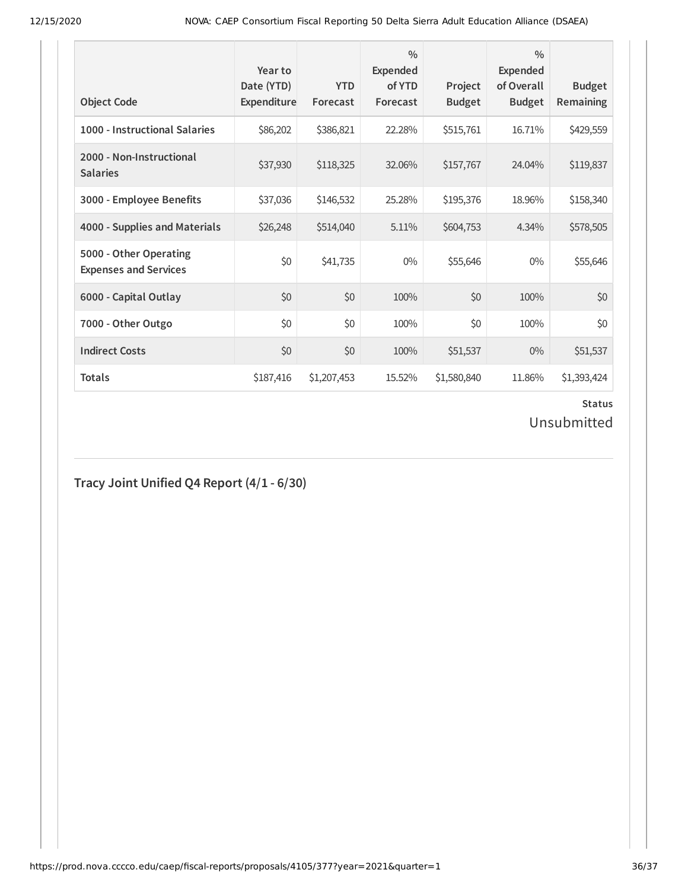| <b>Object Code</b>                                     | Year to<br>Date (YTD)<br>Expenditure | <b>YTD</b><br>Forecast | $\frac{0}{0}$<br>Expended<br>of YTD<br>Forecast | Project<br><b>Budget</b> | $\frac{0}{0}$<br><b>Expended</b><br>of Overall<br><b>Budget</b> | <b>Budget</b><br><b>Remaining</b> |
|--------------------------------------------------------|--------------------------------------|------------------------|-------------------------------------------------|--------------------------|-----------------------------------------------------------------|-----------------------------------|
| 1000 - Instructional Salaries                          | \$86,202                             | \$386,821              | 22.28%                                          | \$515,761                | 16.71%                                                          | \$429,559                         |
| 2000 - Non-Instructional<br><b>Salaries</b>            | \$37,930                             | \$118,325              | 32.06%                                          | \$157,767                | 24.04%                                                          | \$119,837                         |
| 3000 - Employee Benefits                               | \$37,036                             | \$146,532              | 25.28%                                          | \$195,376                | 18.96%                                                          | \$158,340                         |
| 4000 - Supplies and Materials                          | \$26,248                             | \$514,040              | 5.11%                                           | \$604,753                | 4.34%                                                           | \$578,505                         |
| 5000 - Other Operating<br><b>Expenses and Services</b> | \$0                                  | \$41,735               | $0\%$                                           | \$55,646                 | $0\%$                                                           | \$55,646                          |
| 6000 - Capital Outlay                                  | \$0                                  | \$0                    | 100%                                            | \$0                      | 100%                                                            | \$0                               |
| 7000 - Other Outgo                                     | \$0                                  | \$0                    | 100%                                            | \$0                      | 100%                                                            | \$0                               |
| <b>Indirect Costs</b>                                  | \$0                                  | \$0                    | 100%                                            | \$51,537                 | $0\%$                                                           | \$51,537                          |
| <b>Totals</b>                                          | \$187,416                            | \$1,207,453            | 15.52%                                          | \$1,580,840              | 11.86%                                                          | \$1,393,424                       |

Unsubmitted

## **Tracy Joint Unified Q4 Report (4/1 - 6/30)**